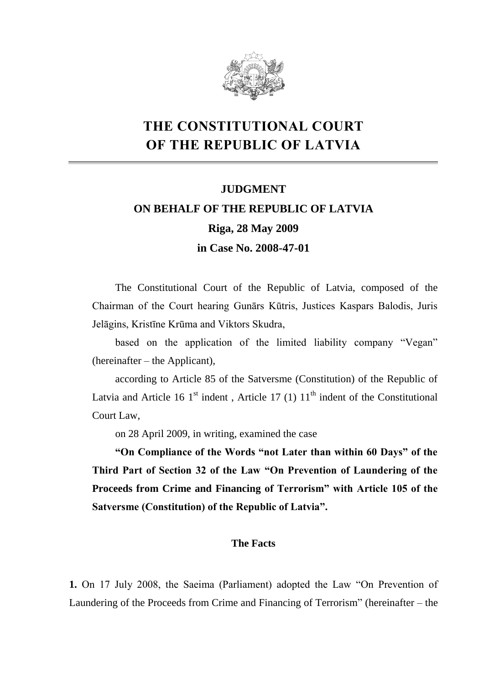

## **THE CONSTITUTIONAL COURT OF THE REPUBLIC OF LATVIA**

# **JUDGMENT ON BEHALF OF THE REPUBLIC OF LATVIA Riga, 28 May 2009 in Case No. 2008-47-01**

The Constitutional Court of the Republic of Latvia, composed of the Chairman of the Court hearing Gunārs Kūtris, Justices Kaspars Balodis, Juris Jelāgins, Kristīne Krūma and Viktors Skudra,

based on the application of the limited liability company "Vegan" (hereinafter – the Applicant),

according to Article 85 of the Satversme (Constitution) of the Republic of Latvia and Article 16 1<sup>st</sup> indent, Article 17 (1)  $11<sup>th</sup>$  indent of the Constitutional Court Law,

on 28 April 2009, in writing, examined the case

**"On Compliance of the Words "not Later than within 60 Days" of the Third Part of Section 32 of the Law "On Prevention of Laundering of the Proceeds from Crime and Financing of Terrorism" with Article 105 of the Satversme (Constitution) of the Republic of Latvia".** 

### **The Facts**

**1.** On 17 July 2008, the Saeima (Parliament) adopted the Law "On Prevention of Laundering of the Proceeds from Crime and Financing of Terrorism" (hereinafter – the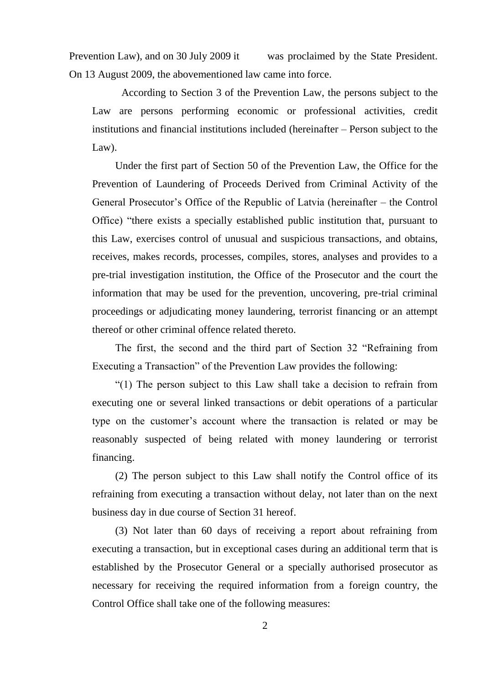Prevention Law), and on 30 July 2009 it was proclaimed by the State President. On 13 August 2009, the abovementioned law came into force.

According to Section 3 of the Prevention Law, the persons subject to the Law are persons performing economic or professional activities, credit institutions and financial institutions included (hereinafter – Person subject to the Law).

Under the first part of Section 50 of the Prevention Law, the Office for the Prevention of Laundering of Proceeds Derived from Criminal Activity of the General Prosecutor's Office of the Republic of Latvia (hereinafter – the Control Office) "there exists a specially established public institution that, pursuant to this Law, exercises control of unusual and suspicious transactions, and obtains, receives, makes records, processes, compiles, stores, analyses and provides to a pre-trial investigation institution, the Office of the Prosecutor and the court the information that may be used for the prevention, uncovering, pre-trial criminal proceedings or adjudicating money laundering, terrorist financing or an attempt thereof or other criminal offence related thereto.

The first, the second and the third part of Section 32 "Refraining from Executing a Transaction" of the Prevention Law provides the following:

"(1) The person subject to this Law shall take a decision to refrain from executing one or several linked transactions or debit operations of a particular type on the customer's account where the transaction is related or may be reasonably suspected of being related with money laundering or terrorist financing.

(2) The person subject to this Law shall notify the Control office of its refraining from executing a transaction without delay, not later than on the next business day in due course of Section 31 hereof.

(3) Not later than 60 days of receiving a report about refraining from executing a transaction, but in exceptional cases during an additional term that is established by the Prosecutor General or a specially authorised prosecutor as necessary for receiving the required information from a foreign country, the Control Office shall take one of the following measures: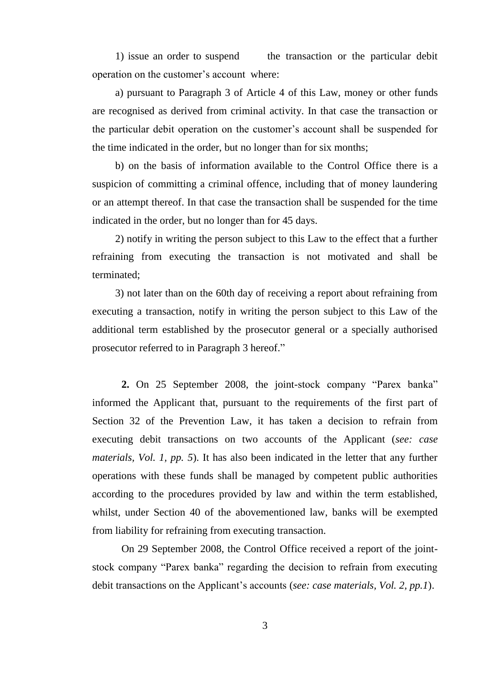1) issue an order to suspend the transaction or the particular debit operation on the customer's account where:

a) pursuant to Paragraph 3 of Article 4 of this Law, money or other funds are recognised as derived from criminal activity. In that case the transaction or the particular debit operation on the customer's account shall be suspended for the time indicated in the order, but no longer than for six months;

b) on the basis of information available to the Control Office there is a suspicion of committing a criminal offence, including that of money laundering or an attempt thereof. In that case the transaction shall be suspended for the time indicated in the order, but no longer than for 45 days.

2) notify in writing the person subject to this Law to the effect that a further refraining from executing the transaction is not motivated and shall be terminated;

3) not later than on the 60th day of receiving a report about refraining from executing a transaction, notify in writing the person subject to this Law of the additional term established by the prosecutor general or a specially authorised prosecutor referred to in Paragraph 3 hereof."

**2.** On 25 September 2008, the joint-stock company "Parex banka" informed the Applicant that, pursuant to the requirements of the first part of Section 32 of the Prevention Law, it has taken a decision to refrain from executing debit transactions on two accounts of the Applicant (*see: case materials, Vol. 1, pp. 5*). It has also been indicated in the letter that any further operations with these funds shall be managed by competent public authorities according to the procedures provided by law and within the term established, whilst, under Section 40 of the abovementioned law, banks will be exempted from liability for refraining from executing transaction.

On 29 September 2008, the Control Office received a report of the jointstock company "Parex banka" regarding the decision to refrain from executing debit transactions on the Applicant's accounts (*see: case materials, Vol. 2, pp.1*).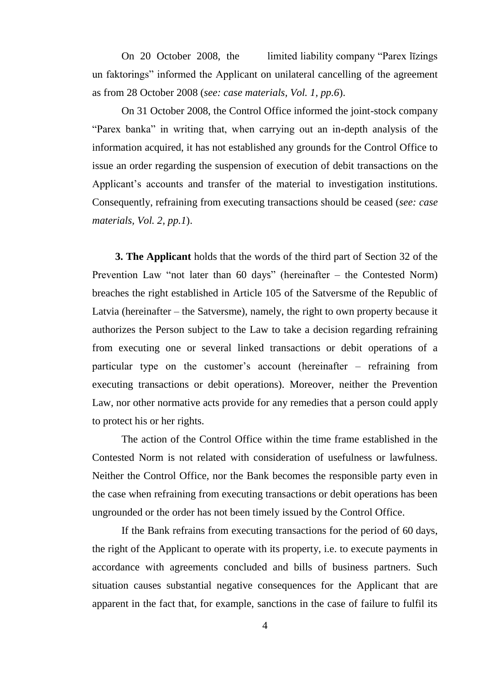On 20 October 2008, the limited liability company "Parex līzings un faktorings" informed the Applicant on unilateral cancelling of the agreement as from 28 October 2008 (*see: case materials, Vol. 1, pp.6*).

On 31 October 2008, the Control Office informed the joint-stock company "Parex banka" in writing that, when carrying out an in-depth analysis of the information acquired, it has not established any grounds for the Control Office to issue an order regarding the suspension of execution of debit transactions on the Applicant's accounts and transfer of the material to investigation institutions. Consequently, refraining from executing transactions should be ceased (*see: case materials, Vol. 2, pp.1*).

**3. The Applicant** holds that the words of the third part of Section 32 of the Prevention Law "not later than 60 days" (hereinafter – the Contested Norm) breaches the right established in Article 105 of the Satversme of the Republic of Latvia (hereinafter – the Satversme), namely, the right to own property because it authorizes the Person subject to the Law to take a decision regarding refraining from executing one or several linked transactions or debit operations of a particular type on the customer's account (hereinafter – refraining from executing transactions or debit operations). Moreover, neither the Prevention Law, nor other normative acts provide for any remedies that a person could apply to protect his or her rights.

The action of the Control Office within the time frame established in the Contested Norm is not related with consideration of usefulness or lawfulness. Neither the Control Office, nor the Bank becomes the responsible party even in the case when refraining from executing transactions or debit operations has been ungrounded or the order has not been timely issued by the Control Office.

If the Bank refrains from executing transactions for the period of 60 days, the right of the Applicant to operate with its property, i.e. to execute payments in accordance with agreements concluded and bills of business partners. Such situation causes substantial negative consequences for the Applicant that are apparent in the fact that, for example, sanctions in the case of failure to fulfil its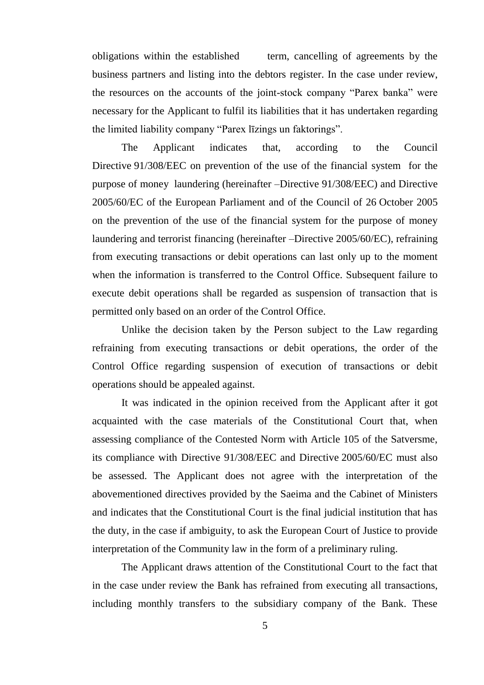obligations within the established term, cancelling of agreements by the business partners and listing into the debtors register. In the case under review, the resources on the accounts of the joint-stock company "Parex banka" were necessary for the Applicant to fulfil its liabilities that it has undertaken regarding the limited liability company "Parex līzings un faktorings".

The Applicant indicates that, according to the Council Directive 91/308/EEC on prevention of the use of the financial system for the purpose of money laundering (hereinafter –Directive 91/308/EEC) and Directive 2005/60/EC of the European Parliament and of the Council of 26 October 2005 on the prevention of the use of the financial system for the purpose of money laundering and terrorist financing (hereinafter –Directive 2005/60/EC), refraining from executing transactions or debit operations can last only up to the moment when the information is transferred to the Control Office. Subsequent failure to execute debit operations shall be regarded as suspension of transaction that is permitted only based on an order of the Control Office.

Unlike the decision taken by the Person subject to the Law regarding refraining from executing transactions or debit operations, the order of the Control Office regarding suspension of execution of transactions or debit operations should be appealed against.

It was indicated in the opinion received from the Applicant after it got acquainted with the case materials of the Constitutional Court that, when assessing compliance of the Contested Norm with Article 105 of the Satversme, its compliance with Directive 91/308/EEC and Directive 2005/60/EC must also be assessed. The Applicant does not agree with the interpretation of the abovementioned directives provided by the Saeima and the Cabinet of Ministers and indicates that the Constitutional Court is the final judicial institution that has the duty, in the case if ambiguity, to ask the European Court of Justice to provide interpretation of the Community law in the form of a preliminary ruling.

The Applicant draws attention of the Constitutional Court to the fact that in the case under review the Bank has refrained from executing all transactions, including monthly transfers to the subsidiary company of the Bank. These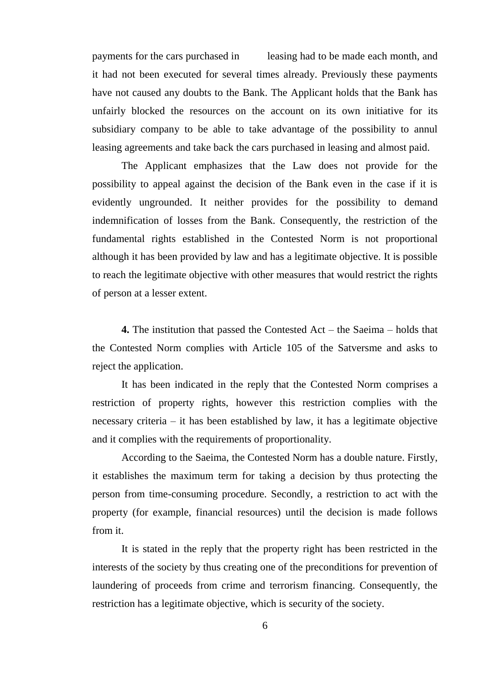payments for the cars purchased in leasing had to be made each month, and it had not been executed for several times already. Previously these payments have not caused any doubts to the Bank. The Applicant holds that the Bank has unfairly blocked the resources on the account on its own initiative for its subsidiary company to be able to take advantage of the possibility to annul leasing agreements and take back the cars purchased in leasing and almost paid.

The Applicant emphasizes that the Law does not provide for the possibility to appeal against the decision of the Bank even in the case if it is evidently ungrounded. It neither provides for the possibility to demand indemnification of losses from the Bank. Consequently, the restriction of the fundamental rights established in the Contested Norm is not proportional although it has been provided by law and has a legitimate objective. It is possible to reach the legitimate objective with other measures that would restrict the rights of person at a lesser extent.

**4.** The institution that passed the Contested Act – the Saeima – holds that the Contested Norm complies with Article 105 of the Satversme and asks to reject the application.

It has been indicated in the reply that the Contested Norm comprises a restriction of property rights, however this restriction complies with the necessary criteria – it has been established by law, it has a legitimate objective and it complies with the requirements of proportionality.

According to the Saeima, the Contested Norm has a double nature. Firstly, it establishes the maximum term for taking a decision by thus protecting the person from time-consuming procedure. Secondly, a restriction to act with the property (for example, financial resources) until the decision is made follows from it.

It is stated in the reply that the property right has been restricted in the interests of the society by thus creating one of the preconditions for prevention of laundering of proceeds from crime and terrorism financing. Consequently, the restriction has a legitimate objective, which is security of the society.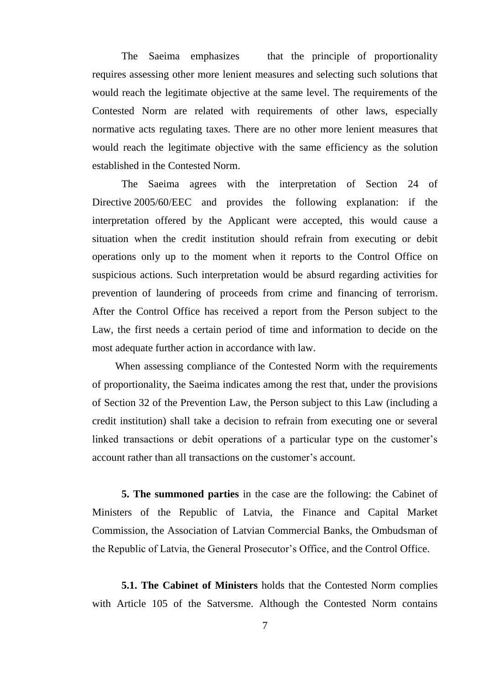The Saeima emphasizes that the principle of proportionality requires assessing other more lenient measures and selecting such solutions that would reach the legitimate objective at the same level. The requirements of the Contested Norm are related with requirements of other laws, especially normative acts regulating taxes. There are no other more lenient measures that would reach the legitimate objective with the same efficiency as the solution established in the Contested Norm.

The Saeima agrees with the interpretation of Section 24 of Directive 2005/60/EEC and provides the following explanation: if the interpretation offered by the Applicant were accepted, this would cause a situation when the credit institution should refrain from executing or debit operations only up to the moment when it reports to the Control Office on suspicious actions. Such interpretation would be absurd regarding activities for prevention of laundering of proceeds from crime and financing of terrorism. After the Control Office has received a report from the Person subject to the Law, the first needs a certain period of time and information to decide on the most adequate further action in accordance with law.

When assessing compliance of the Contested Norm with the requirements of proportionality, the Saeima indicates among the rest that, under the provisions of Section 32 of the Prevention Law, the Person subject to this Law (including a credit institution) shall take a decision to refrain from executing one or several linked transactions or debit operations of a particular type on the customer's account rather than all transactions on the customer's account.

**5. The summoned parties** in the case are the following: the Cabinet of Ministers of the Republic of Latvia, the Finance and Capital Market Commission, the Association of Latvian Commercial Banks, the Ombudsman of the Republic of Latvia, the General Prosecutor's Office, and the Control Office.

**5.1. The Cabinet of Ministers** holds that the Contested Norm complies with Article 105 of the Satversme. Although the Contested Norm contains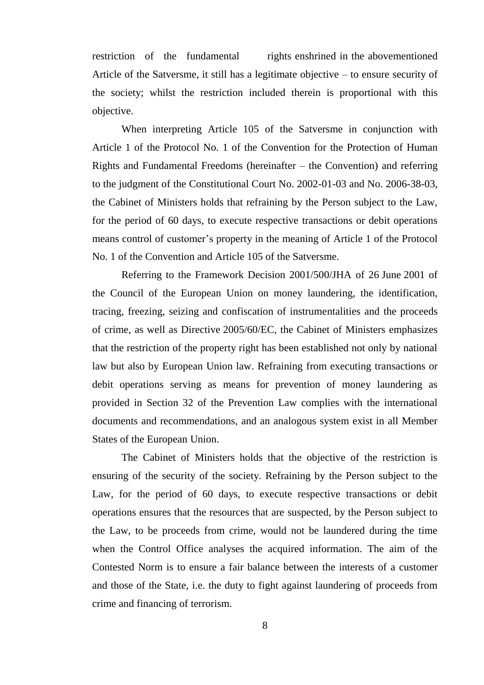restriction of the fundamental rights enshrined in the abovementioned Article of the Satversme, it still has a legitimate objective – to ensure security of the society; whilst the restriction included therein is proportional with this objective.

When interpreting Article 105 of the Satversme in conjunction with Article 1 of the Protocol No. 1 of the Convention for the Protection of Human Rights and Fundamental Freedoms (hereinafter – the Convention) and referring to the judgment of the Constitutional Court No. 2002-01-03 and No. 2006-38-03, the Cabinet of Ministers holds that refraining by the Person subject to the Law, for the period of 60 days, to execute respective transactions or debit operations means control of customer's property in the meaning of Article 1 of the Protocol No. 1 of the Convention and Article 105 of the Satversme.

Referring to the Framework Decision 2001/500/JHA of 26 June 2001 of the Council of the European Union on money laundering, the identification, tracing, freezing, seizing and confiscation of instrumentalities and the proceeds of crime, as well as Directive 2005/60/EC, the Cabinet of Ministers emphasizes that the restriction of the property right has been established not only by national law but also by European Union law. Refraining from executing transactions or debit operations serving as means for prevention of money laundering as provided in Section 32 of the Prevention Law complies with the international documents and recommendations, and an analogous system exist in all Member States of the European Union.

The Cabinet of Ministers holds that the objective of the restriction is ensuring of the security of the society. Refraining by the Person subject to the Law, for the period of 60 days, to execute respective transactions or debit operations ensures that the resources that are suspected, by the Person subject to the Law, to be proceeds from crime, would not be laundered during the time when the Control Office analyses the acquired information. The aim of the Contested Norm is to ensure a fair balance between the interests of a customer and those of the State, i.e. the duty to fight against laundering of proceeds from crime and financing of terrorism.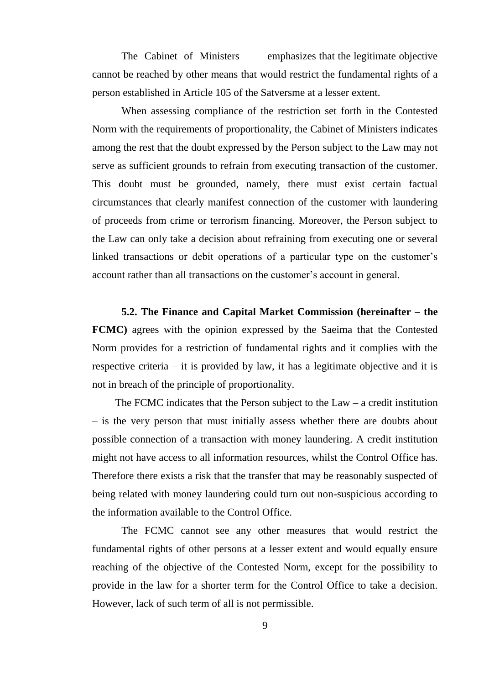The Cabinet of Ministers emphasizes that the legitimate objective cannot be reached by other means that would restrict the fundamental rights of a person established in Article 105 of the Satversme at a lesser extent.

When assessing compliance of the restriction set forth in the Contested Norm with the requirements of proportionality, the Cabinet of Ministers indicates among the rest that the doubt expressed by the Person subject to the Law may not serve as sufficient grounds to refrain from executing transaction of the customer. This doubt must be grounded, namely, there must exist certain factual circumstances that clearly manifest connection of the customer with laundering of proceeds from crime or terrorism financing. Moreover, the Person subject to the Law can only take a decision about refraining from executing one or several linked transactions or debit operations of a particular type on the customer's account rather than all transactions on the customer's account in general.

**5.2. The Finance and Capital Market Commission (hereinafter – the FCMC)** agrees with the opinion expressed by the Saeima that the Contested Norm provides for a restriction of fundamental rights and it complies with the respective criteria – it is provided by law, it has a legitimate objective and it is not in breach of the principle of proportionality.

The FCMC indicates that the Person subject to the  $Law - a$  credit institution – is the very person that must initially assess whether there are doubts about possible connection of a transaction with money laundering. A credit institution might not have access to all information resources, whilst the Control Office has. Therefore there exists a risk that the transfer that may be reasonably suspected of being related with money laundering could turn out non-suspicious according to the information available to the Control Office.

The FCMC cannot see any other measures that would restrict the fundamental rights of other persons at a lesser extent and would equally ensure reaching of the objective of the Contested Norm, except for the possibility to provide in the law for a shorter term for the Control Office to take a decision. However, lack of such term of all is not permissible.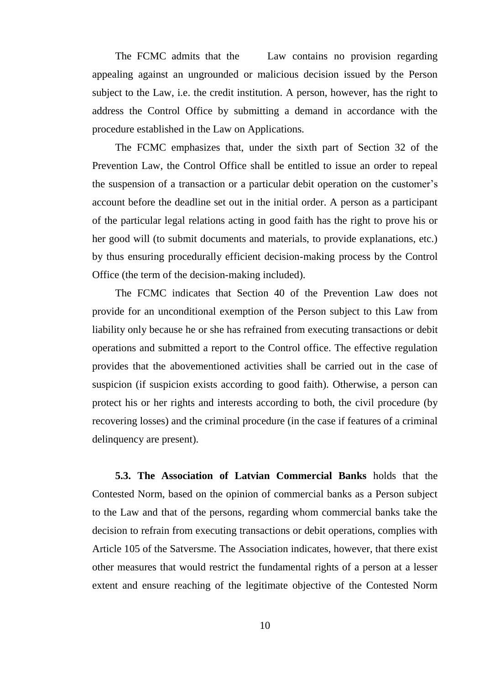The FCMC admits that the Law contains no provision regarding appealing against an ungrounded or malicious decision issued by the Person subject to the Law, i.e. the credit institution. A person, however, has the right to address the Control Office by submitting a demand in accordance with the procedure established in the Law on Applications.

The FCMC emphasizes that, under the sixth part of Section 32 of the Prevention Law, the Control Office shall be entitled to issue an order to repeal the suspension of a transaction or a particular debit operation on the customer's account before the deadline set out in the initial order. A person as a participant of the particular legal relations acting in good faith has the right to prove his or her good will (to submit documents and materials, to provide explanations, etc.) by thus ensuring procedurally efficient decision-making process by the Control Office (the term of the decision-making included).

The FCMC indicates that Section 40 of the Prevention Law does not provide for an unconditional exemption of the Person subject to this Law from liability only because he or she has refrained from executing transactions or debit operations and submitted a report to the Control office. The effective regulation provides that the abovementioned activities shall be carried out in the case of suspicion (if suspicion exists according to good faith). Otherwise, a person can protect his or her rights and interests according to both, the civil procedure (by recovering losses) and the criminal procedure (in the case if features of a criminal delinquency are present).

**5.3. The Association of Latvian Commercial Banks** holds that the Contested Norm, based on the opinion of commercial banks as a Person subject to the Law and that of the persons, regarding whom commercial banks take the decision to refrain from executing transactions or debit operations, complies with Article 105 of the Satversme. The Association indicates, however, that there exist other measures that would restrict the fundamental rights of a person at a lesser extent and ensure reaching of the legitimate objective of the Contested Norm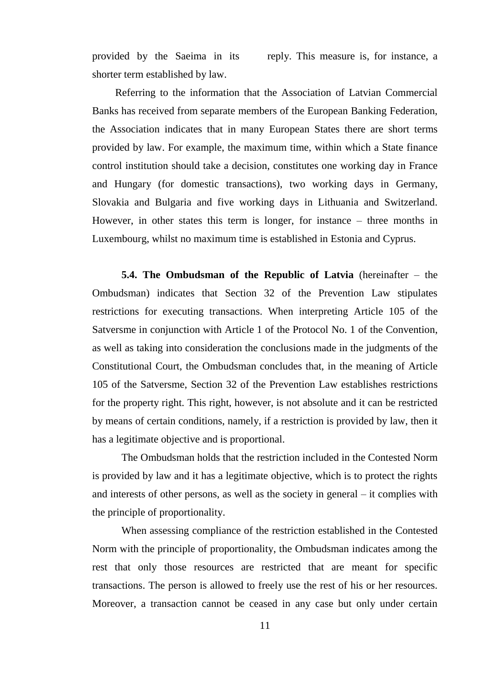provided by the Saeima in its reply. This measure is, for instance, a shorter term established by law.

Referring to the information that the Association of Latvian Commercial Banks has received from separate members of the European Banking Federation, the Association indicates that in many European States there are short terms provided by law. For example, the maximum time, within which a State finance control institution should take a decision, constitutes one working day in France and Hungary (for domestic transactions), two working days in Germany, Slovakia and Bulgaria and five working days in Lithuania and Switzerland. However, in other states this term is longer, for instance – three months in Luxembourg, whilst no maximum time is established in Estonia and Cyprus.

**5.4. The Ombudsman of the Republic of Latvia** (hereinafter – the Ombudsman) indicates that Section 32 of the Prevention Law stipulates restrictions for executing transactions. When interpreting Article 105 of the Satversme in conjunction with Article 1 of the Protocol No. 1 of the Convention, as well as taking into consideration the conclusions made in the judgments of the Constitutional Court, the Ombudsman concludes that, in the meaning of Article 105 of the Satversme, Section 32 of the Prevention Law establishes restrictions for the property right. This right, however, is not absolute and it can be restricted by means of certain conditions, namely, if a restriction is provided by law, then it has a legitimate objective and is proportional.

The Ombudsman holds that the restriction included in the Contested Norm is provided by law and it has a legitimate objective, which is to protect the rights and interests of other persons, as well as the society in general – it complies with the principle of proportionality.

When assessing compliance of the restriction established in the Contested Norm with the principle of proportionality, the Ombudsman indicates among the rest that only those resources are restricted that are meant for specific transactions. The person is allowed to freely use the rest of his or her resources. Moreover, a transaction cannot be ceased in any case but only under certain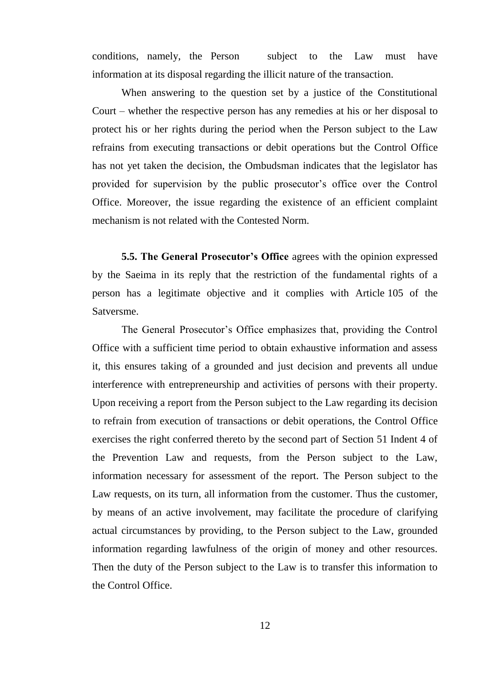conditions, namely, the Person subject to the Law must have information at its disposal regarding the illicit nature of the transaction.

When answering to the question set by a justice of the Constitutional Court – whether the respective person has any remedies at his or her disposal to protect his or her rights during the period when the Person subject to the Law refrains from executing transactions or debit operations but the Control Office has not yet taken the decision, the Ombudsman indicates that the legislator has provided for supervision by the public prosecutor's office over the Control Office. Moreover, the issue regarding the existence of an efficient complaint mechanism is not related with the Contested Norm.

**5.5. The General Prosecutor's Office** agrees with the opinion expressed by the Saeima in its reply that the restriction of the fundamental rights of a person has a legitimate objective and it complies with Article 105 of the Satversme.

The General Prosecutor's Office emphasizes that, providing the Control Office with a sufficient time period to obtain exhaustive information and assess it, this ensures taking of a grounded and just decision and prevents all undue interference with entrepreneurship and activities of persons with their property. Upon receiving a report from the Person subject to the Law regarding its decision to refrain from execution of transactions or debit operations, the Control Office exercises the right conferred thereto by the second part of Section 51 Indent 4 of the Prevention Law and requests, from the Person subject to the Law, information necessary for assessment of the report. The Person subject to the Law requests, on its turn, all information from the customer. Thus the customer, by means of an active involvement, may facilitate the procedure of clarifying actual circumstances by providing, to the Person subject to the Law, grounded information regarding lawfulness of the origin of money and other resources. Then the duty of the Person subject to the Law is to transfer this information to the Control Office.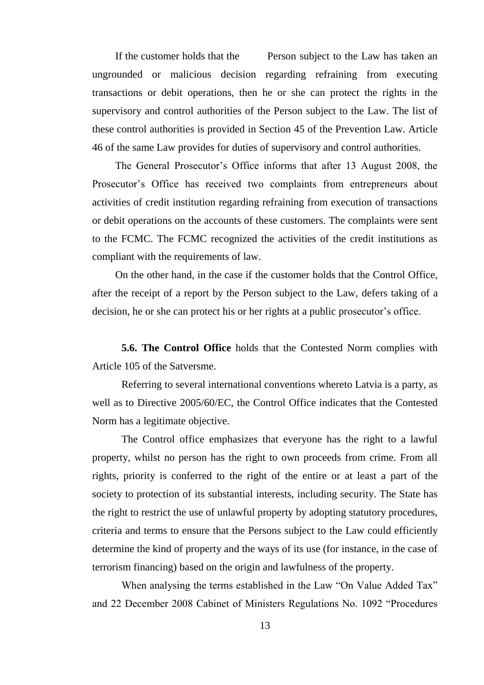If the customer holds that the Person subject to the Law has taken an ungrounded or malicious decision regarding refraining from executing transactions or debit operations, then he or she can protect the rights in the supervisory and control authorities of the Person subject to the Law. The list of these control authorities is provided in Section 45 of the Prevention Law. Article 46 of the same Law provides for duties of supervisory and control authorities.

The General Prosecutor's Office informs that after 13 August 2008, the Prosecutor's Office has received two complaints from entrepreneurs about activities of credit institution regarding refraining from execution of transactions or debit operations on the accounts of these customers. The complaints were sent to the FCMC. The FCMC recognized the activities of the credit institutions as compliant with the requirements of law.

On the other hand, in the case if the customer holds that the Control Office, after the receipt of a report by the Person subject to the Law, defers taking of a decision, he or she can protect his or her rights at a public prosecutor's office.

**5.6. The Control Office** holds that the Contested Norm complies with Article 105 of the Satversme.

Referring to several international conventions whereto Latvia is a party, as well as to Directive 2005/60/EC, the Control Office indicates that the Contested Norm has a legitimate objective.

The Control office emphasizes that everyone has the right to a lawful property, whilst no person has the right to own proceeds from crime. From all rights, priority is conferred to the right of the entire or at least a part of the society to protection of its substantial interests, including security. The State has the right to restrict the use of unlawful property by adopting statutory procedures, criteria and terms to ensure that the Persons subject to the Law could efficiently determine the kind of property and the ways of its use (for instance, in the case of terrorism financing) based on the origin and lawfulness of the property.

When analysing the terms established in the Law "On Value Added Tax" and 22 December 2008 Cabinet of Ministers Regulations No. 1092 "Procedures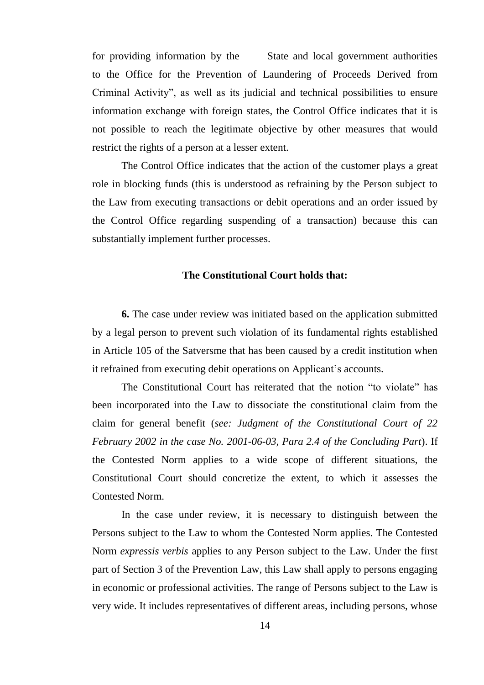for providing information by the State and local government authorities to the Office for the Prevention of Laundering of Proceeds Derived from Criminal Activity", as well as its judicial and technical possibilities to ensure information exchange with foreign states, the Control Office indicates that it is not possible to reach the legitimate objective by other measures that would restrict the rights of a person at a lesser extent.

The Control Office indicates that the action of the customer plays a great role in blocking funds (this is understood as refraining by the Person subject to the Law from executing transactions or debit operations and an order issued by the Control Office regarding suspending of a transaction) because this can substantially implement further processes.

### **The Constitutional Court holds that:**

**6.** The case under review was initiated based on the application submitted by a legal person to prevent such violation of its fundamental rights established in Article 105 of the Satversme that has been caused by a credit institution when it refrained from executing debit operations on Applicant's accounts.

The Constitutional Court has reiterated that the notion "to violate" has been incorporated into the Law to dissociate the constitutional claim from the claim for general benefit (*see: Judgment of the Constitutional Court of 22 February 2002 in the case No. 2001-06-03, Para 2.4 of the Concluding Part*). If the Contested Norm applies to a wide scope of different situations, the Constitutional Court should concretize the extent, to which it assesses the Contested Norm.

In the case under review, it is necessary to distinguish between the Persons subject to the Law to whom the Contested Norm applies. The Contested Norm *expressis verbis* applies to any Person subject to the Law. Under the first part of Section 3 of the Prevention Law, this Law shall apply to persons engaging in economic or professional activities. The range of Persons subject to the Law is very wide. It includes representatives of different areas, including persons, whose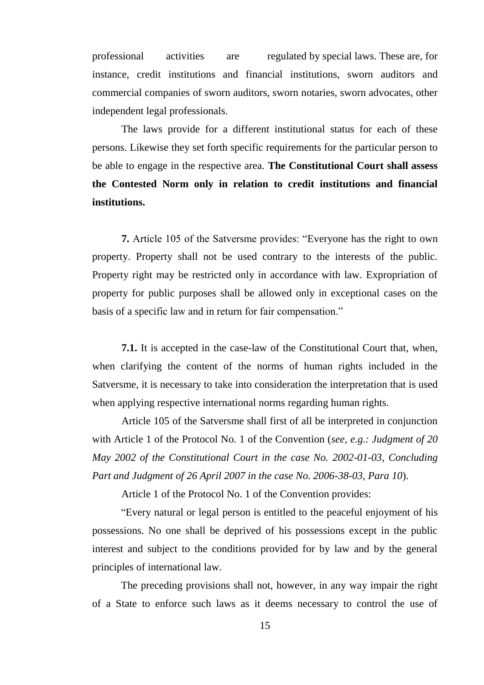professional activities are regulated by special laws. These are, for instance, credit institutions and financial institutions, sworn auditors and commercial companies of sworn auditors, sworn notaries, sworn advocates, other independent legal professionals.

The laws provide for a different institutional status for each of these persons. Likewise they set forth specific requirements for the particular person to be able to engage in the respective area. **The Constitutional Court shall assess the Contested Norm only in relation to credit institutions and financial institutions.** 

**7.** Article 105 of the Satversme provides: "Everyone has the right to own property. Property shall not be used contrary to the interests of the public. Property right may be restricted only in accordance with law. Expropriation of property for public purposes shall be allowed only in exceptional cases on the basis of a specific law and in return for fair compensation."

**7.1.** It is accepted in the case-law of the Constitutional Court that, when, when clarifying the content of the norms of human rights included in the Satversme, it is necessary to take into consideration the interpretation that is used when applying respective international norms regarding human rights.

Article 105 of the Satversme shall first of all be interpreted in conjunction with Article 1 of the Protocol No. 1 of the Convention (*see, e.g.: Judgment of 20 May 2002 of the Constitutional Court in the case No. 2002-01-03, Concluding Part and Judgment of 26 April 2007 in the case No. 2006-38-03, Para 10*).

Article 1 of the Protocol No. 1 of the Convention provides:

"Every natural or legal person is entitled to the peaceful enjoyment of his possessions. No one shall be deprived of his possessions except in the public interest and subject to the conditions provided for by law and by the general principles of international law.

The preceding provisions shall not, however, in any way impair the right of a State to enforce such laws as it deems necessary to control the use of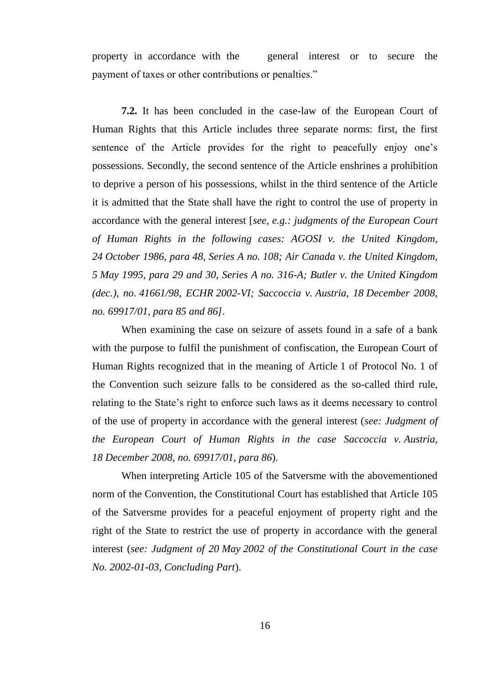property in accordance with the general interest or to secure the payment of taxes or other contributions or penalties."

**7.2.** It has been concluded in the case-law of the European Court of Human Rights that this Article includes three separate norms: first, the first sentence of the Article provides for the right to peacefully enjoy one's possessions. Secondly, the second sentence of the Article enshrines a prohibition to deprive a person of his possessions, whilst in the third sentence of the Article it is admitted that the State shall have the right to control the use of property in accordance with the general interest [*see, e.g.: judgments of the European Court of Human Rights in the following cases: AGOSI v. the United Kingdom, 24 October 1986, para 48, Series A no. 108; Air Canada v. the United Kingdom, 5 May 1995, para 29 and 30, Series A no. 316-A; Butler v. the United Kingdom (dec.), no. 41661/98, ECHR 2002-VI; Saccoccia v. Austria, 18 December 2008, no. 69917/01, para 85 and 86]*.

When examining the case on seizure of assets found in a safe of a bank with the purpose to fulfil the punishment of confiscation, the European Court of Human Rights recognized that in the meaning of Article 1 of Protocol No. 1 of the Convention such seizure falls to be considered as the so-called third rule, relating to the State's right to enforce such laws as it deems necessary to control of the use of property in accordance with the general interest (*see: Judgment of the European Court of Human Rights in the case Saccoccia v. Austria, 18 December 2008, no. 69917/01, para 86*).

When interpreting Article 105 of the Satversme with the abovementioned norm of the Convention, the Constitutional Court has established that Article 105 of the Satversme provides for a peaceful enjoyment of property right and the right of the State to restrict the use of property in accordance with the general interest (*see: Judgment of 20 May 2002 of the Constitutional Court in the case No. 2002-01-03, Concluding Part*).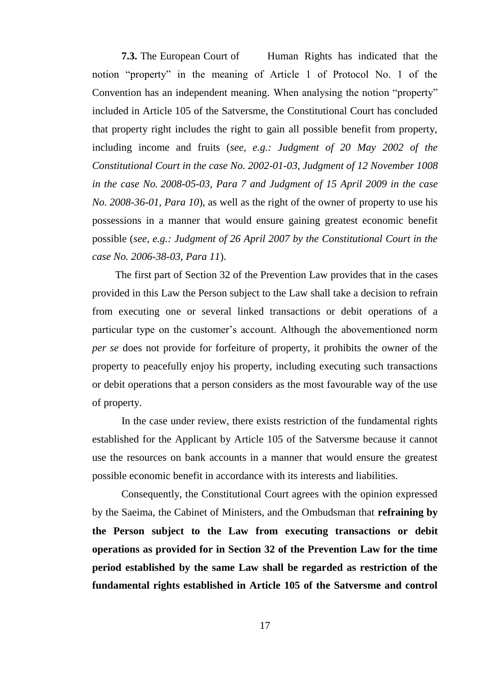**7.3.** The European Court of Human Rights has indicated that the notion "property" in the meaning of Article 1 of Protocol No. 1 of the Convention has an independent meaning. When analysing the notion "property" included in Article 105 of the Satversme, the Constitutional Court has concluded that property right includes the right to gain all possible benefit from property, including income and fruits (*see, e.g.: Judgment of 20 May 2002 of the Constitutional Court in the case No. 2002-01-03, Judgment of 12 November 1008 in the case No. 2008-05-03, Para 7 and Judgment of 15 April 2009 in the case No. 2008-36-01, Para 10*), as well as the right of the owner of property to use his possessions in a manner that would ensure gaining greatest economic benefit possible (*see, e.g.: Judgment of 26 April 2007 by the Constitutional Court in the case No. 2006-38-03, Para 11*).

The first part of Section 32 of the Prevention Law provides that in the cases provided in this Law the Person subject to the Law shall take a decision to refrain from executing one or several linked transactions or debit operations of a particular type on the customer's account. Although the abovementioned norm *per se* does not provide for forfeiture of property, it prohibits the owner of the property to peacefully enjoy his property, including executing such transactions or debit operations that a person considers as the most favourable way of the use of property.

In the case under review, there exists restriction of the fundamental rights established for the Applicant by Article 105 of the Satversme because it cannot use the resources on bank accounts in a manner that would ensure the greatest possible economic benefit in accordance with its interests and liabilities.

Consequently, the Constitutional Court agrees with the opinion expressed by the Saeima, the Cabinet of Ministers, and the Ombudsman that **refraining by the Person subject to the Law from executing transactions or debit operations as provided for in Section 32 of the Prevention Law for the time period established by the same Law shall be regarded as restriction of the fundamental rights established in Article 105 of the Satversme and control**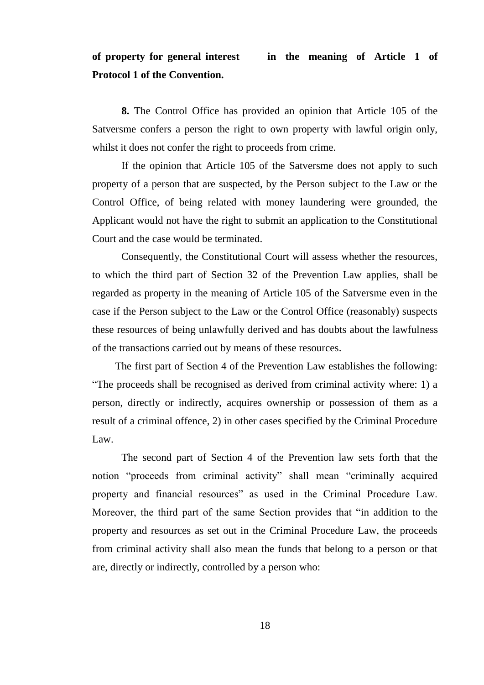### **of property for general interest in the meaning of Article 1 of Protocol 1 of the Convention.**

**8.** The Control Office has provided an opinion that Article 105 of the Satversme confers a person the right to own property with lawful origin only, whilst it does not confer the right to proceeds from crime.

If the opinion that Article 105 of the Satversme does not apply to such property of a person that are suspected, by the Person subject to the Law or the Control Office, of being related with money laundering were grounded, the Applicant would not have the right to submit an application to the Constitutional Court and the case would be terminated.

Consequently, the Constitutional Court will assess whether the resources, to which the third part of Section 32 of the Prevention Law applies, shall be regarded as property in the meaning of Article 105 of the Satversme even in the case if the Person subject to the Law or the Control Office (reasonably) suspects these resources of being unlawfully derived and has doubts about the lawfulness of the transactions carried out by means of these resources.

The first part of Section 4 of the Prevention Law establishes the following: "The proceeds shall be recognised as derived from criminal activity where: 1) a person, directly or indirectly, acquires ownership or possession of them as a result of a criminal offence, 2) in other cases specified by the Criminal Procedure Law.

The second part of Section 4 of the Prevention law sets forth that the notion "proceeds from criminal activity" shall mean "criminally acquired property and financial resources" as used in the Criminal Procedure Law. Moreover, the third part of the same Section provides that "in addition to the property and resources as set out in the Criminal Procedure Law, the proceeds from criminal activity shall also mean the funds that belong to a person or that are, directly or indirectly, controlled by a person who: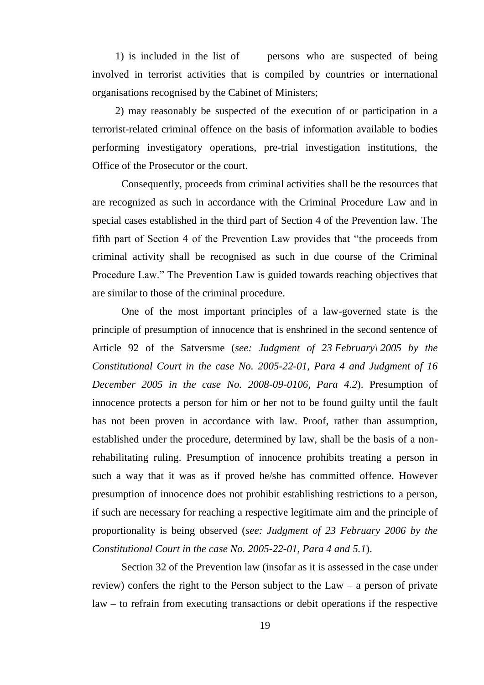1) is included in the list of persons who are suspected of being involved in terrorist activities that is compiled by countries or international organisations recognised by the Cabinet of Ministers;

2) may reasonably be suspected of the execution of or participation in a terrorist-related criminal offence on the basis of information available to bodies performing investigatory operations, pre-trial investigation institutions, the Office of the Prosecutor or the court.

Consequently, proceeds from criminal activities shall be the resources that are recognized as such in accordance with the Criminal Procedure Law and in special cases established in the third part of Section 4 of the Prevention law. The fifth part of Section 4 of the Prevention Law provides that "the proceeds from criminal activity shall be recognised as such in due course of the Criminal Procedure Law." The Prevention Law is guided towards reaching objectives that are similar to those of the criminal procedure.

One of the most important principles of a law-governed state is the principle of presumption of innocence that is enshrined in the second sentence of Article 92 of the Satversme (*see: Judgment of 23 February\ 2005 by the Constitutional Court in the case No. 2005-22-01, Para 4 and Judgment of 16 December 2005 in the case No. 2008-09-0106, Para 4.2*). Presumption of innocence protects a person for him or her not to be found guilty until the fault has not been proven in accordance with law. Proof, rather than assumption, established under the procedure, determined by law, shall be the basis of a nonrehabilitating ruling. Presumption of innocence prohibits treating a person in such a way that it was as if proved he/she has committed offence. However presumption of innocence does not prohibit establishing restrictions to a person, if such are necessary for reaching a respective legitimate aim and the principle of proportionality is being observed (*see: Judgment of 23 February 2006 by the Constitutional Court in the case No. 2005-22-01, Para 4 and 5.1*).

Section 32 of the Prevention law (insofar as it is assessed in the case under review) confers the right to the Person subject to the Law – a person of private law – to refrain from executing transactions or debit operations if the respective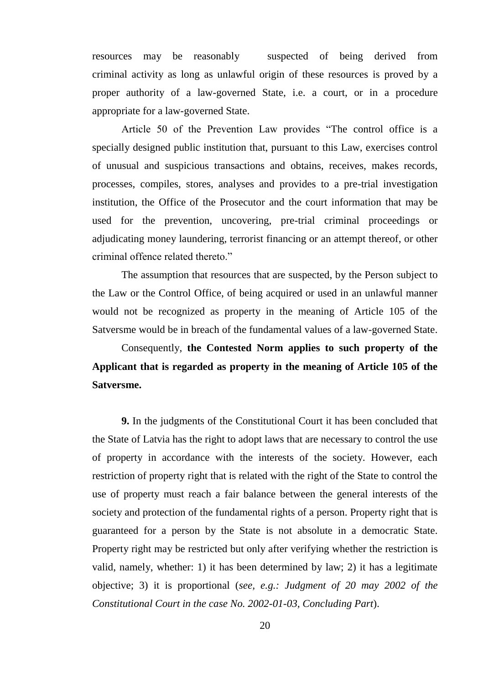resources may be reasonably suspected of being derived from criminal activity as long as unlawful origin of these resources is proved by a proper authority of a law-governed State, i.e. a court, or in a procedure appropriate for a law-governed State.

Article 50 of the Prevention Law provides "The control office is a specially designed public institution that, pursuant to this Law, exercises control of unusual and suspicious transactions and obtains, receives, makes records, processes, compiles, stores, analyses and provides to a pre-trial investigation institution, the Office of the Prosecutor and the court information that may be used for the prevention, uncovering, pre-trial criminal proceedings or adjudicating money laundering, terrorist financing or an attempt thereof, or other criminal offence related thereto."

The assumption that resources that are suspected, by the Person subject to the Law or the Control Office, of being acquired or used in an unlawful manner would not be recognized as property in the meaning of Article 105 of the Satversme would be in breach of the fundamental values of a law-governed State.

Consequently, **the Contested Norm applies to such property of the Applicant that is regarded as property in the meaning of Article 105 of the Satversme.** 

**9.** In the judgments of the Constitutional Court it has been concluded that the State of Latvia has the right to adopt laws that are necessary to control the use of property in accordance with the interests of the society. However, each restriction of property right that is related with the right of the State to control the use of property must reach a fair balance between the general interests of the society and protection of the fundamental rights of a person. Property right that is guaranteed for a person by the State is not absolute in a democratic State. Property right may be restricted but only after verifying whether the restriction is valid, namely, whether: 1) it has been determined by law; 2) it has a legitimate objective; 3) it is proportional (*see, e.g.: Judgment of 20 may 2002 of the Constitutional Court in the case No. 2002-01-03, Concluding Part*).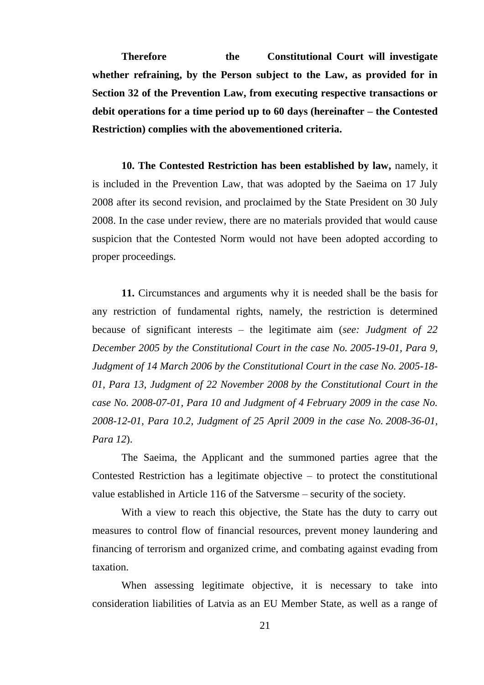**Therefore the Constitutional Court will investigate whether refraining, by the Person subject to the Law, as provided for in Section 32 of the Prevention Law, from executing respective transactions or debit operations for a time period up to 60 days (hereinafter – the Contested Restriction) complies with the abovementioned criteria.**

**10. The Contested Restriction has been established by law,** namely, it is included in the Prevention Law, that was adopted by the Saeima on 17 July 2008 after its second revision, and proclaimed by the State President on 30 July 2008. In the case under review, there are no materials provided that would cause suspicion that the Contested Norm would not have been adopted according to proper proceedings.

**11.** Circumstances and arguments why it is needed shall be the basis for any restriction of fundamental rights, namely, the restriction is determined because of significant interests – the legitimate aim (*see: Judgment of 22 December 2005 by the Constitutional Court in the case No. 2005-19-01, Para 9, Judgment of 14 March 2006 by the Constitutional Court in the case No. 2005-18- 01, Para 13, Judgment of 22 November 2008 by the Constitutional Court in the case No. 2008-07-01, Para 10 and Judgment of 4 February 2009 in the case No. 2008-12-01, Para 10.2, Judgment of 25 April 2009 in the case No. 2008-36-01, Para 12*).

The Saeima, the Applicant and the summoned parties agree that the Contested Restriction has a legitimate objective – to protect the constitutional value established in Article 116 of the Satversme – security of the society.

With a view to reach this objective, the State has the duty to carry out measures to control flow of financial resources, prevent money laundering and financing of terrorism and organized crime, and combating against evading from taxation.

When assessing legitimate objective, it is necessary to take into consideration liabilities of Latvia as an EU Member State, as well as a range of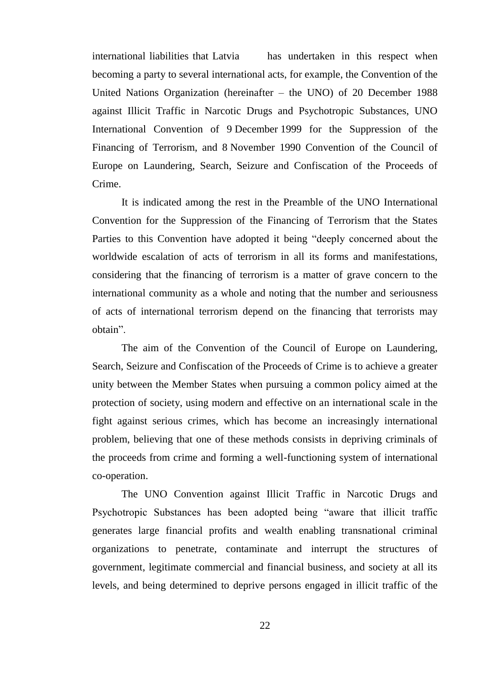international liabilities that Latvia has undertaken in this respect when becoming a party to several international acts, for example, the Convention of the United Nations Organization (hereinafter – the UNO) of 20 December 1988 against Illicit Traffic in Narcotic Drugs and Psychotropic Substances, UNO International Convention of 9 December 1999 for the Suppression of the Financing of Terrorism, and 8 November 1990 Convention of the Council of Europe on Laundering, Search, Seizure and Confiscation of the Proceeds of Crime.

It is indicated among the rest in the Preamble of the UNO International Convention for the Suppression of the Financing of Terrorism that the States Parties to this Convention have adopted it being "deeply concerned about the worldwide escalation of acts of terrorism in all its forms and manifestations, considering that the financing of terrorism is a matter of grave concern to the international community as a whole and noting that the number and seriousness of acts of international terrorism depend on the financing that terrorists may obtain".

The aim of the Convention of the Council of Europe on Laundering, Search, Seizure and Confiscation of the Proceeds of Crime is to achieve a greater unity between the Member States when pursuing a common policy aimed at the protection of society, using modern and effective on an international scale in the fight against serious crimes, which has become an increasingly international problem, believing that one of these methods consists in depriving criminals of the proceeds from crime and forming a well-functioning system of international co-operation.

The UNO Convention against Illicit Traffic in Narcotic Drugs and Psychotropic Substances has been adopted being "aware that illicit traffic generates large financial profits and wealth enabling transnational criminal organizations to penetrate, contaminate and interrupt the structures of government, legitimate commercial and financial business, and society at all its levels, and being determined to deprive persons engaged in illicit traffic of the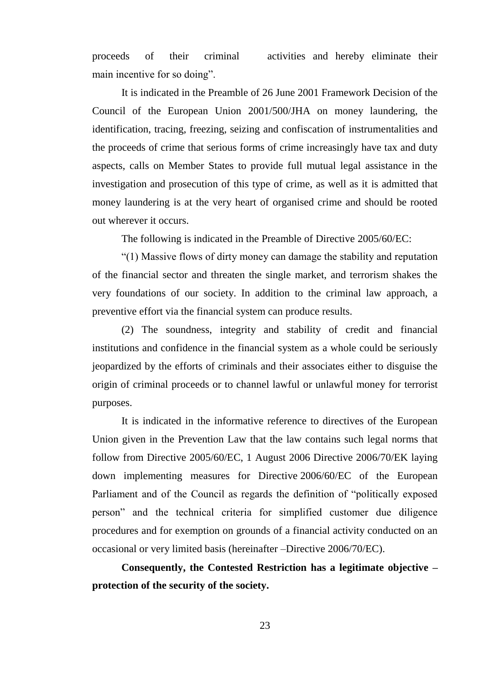proceeds of their criminal activities and hereby eliminate their main incentive for so doing".

It is indicated in the Preamble of 26 June 2001 Framework Decision of the Council of the European Union 2001/500/JHA on money laundering, the identification, tracing, freezing, seizing and confiscation of instrumentalities and the proceeds of crime that serious forms of crime increasingly have tax and duty aspects, calls on Member States to provide full mutual legal assistance in the investigation and prosecution of this type of crime, as well as it is admitted that money laundering is at the very heart of organised crime and should be rooted out wherever it occurs.

The following is indicated in the Preamble of Directive 2005/60/EC:

"(1) Massive flows of dirty money can damage the stability and reputation of the financial sector and threaten the single market, and terrorism shakes the very foundations of our society. In addition to the criminal law approach, a preventive effort via the financial system can produce results.

(2) The soundness, integrity and stability of credit and financial institutions and confidence in the financial system as a whole could be seriously jeopardized by the efforts of criminals and their associates either to disguise the origin of criminal proceeds or to channel lawful or unlawful money for terrorist purposes.

It is indicated in the informative reference to directives of the European Union given in the Prevention Law that the law contains such legal norms that follow from Directive 2005/60/EC, 1 August 2006 Directive 2006/70/EK laying down implementing measures for Directive 2006/60/EC of the European Parliament and of the Council as regards the definition of "politically exposed person" and the technical criteria for simplified customer due diligence procedures and for exemption on grounds of a financial activity conducted on an occasional or very limited basis (hereinafter –Directive 2006/70/EC).

**Consequently, the Contested Restriction has a legitimate objective – protection of the security of the society.**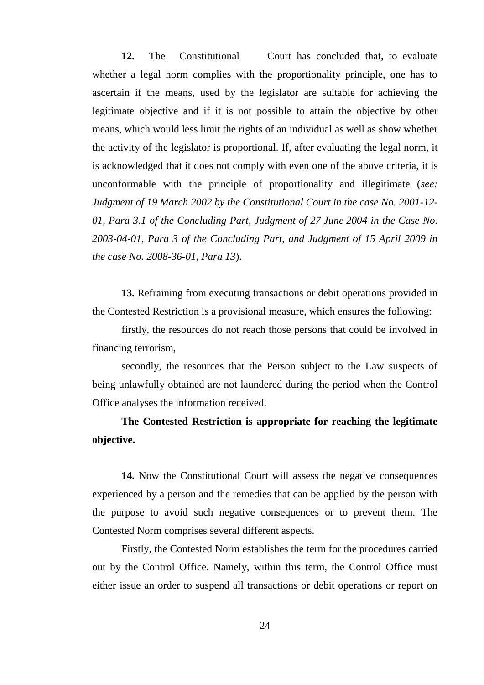12. The Constitutional Court has concluded that, to evaluate whether a legal norm complies with the proportionality principle, one has to ascertain if the means, used by the legislator are suitable for achieving the legitimate objective and if it is not possible to attain the objective by other means, which would less limit the rights of an individual as well as show whether the activity of the legislator is proportional. If, after evaluating the legal norm, it is acknowledged that it does not comply with even one of the above criteria, it is unconformable with the principle of proportionality and illegitimate (*see: Judgment of 19 March 2002 by the Constitutional Court in the case No. 2001-12- 01, Para 3.1 of the Concluding Part, Judgment of 27 June 2004 in the Case No. 2003-04-01, Para 3 of the Concluding Part, and Judgment of 15 April 2009 in the case No. 2008-36-01, Para 13*).

**13.** Refraining from executing transactions or debit operations provided in the Contested Restriction is a provisional measure, which ensures the following:

firstly, the resources do not reach those persons that could be involved in financing terrorism,

secondly, the resources that the Person subject to the Law suspects of being unlawfully obtained are not laundered during the period when the Control Office analyses the information received.

**The Contested Restriction is appropriate for reaching the legitimate objective.**

**14.** Now the Constitutional Court will assess the negative consequences experienced by a person and the remedies that can be applied by the person with the purpose to avoid such negative consequences or to prevent them. The Contested Norm comprises several different aspects.

Firstly, the Contested Norm establishes the term for the procedures carried out by the Control Office. Namely, within this term, the Control Office must either issue an order to suspend all transactions or debit operations or report on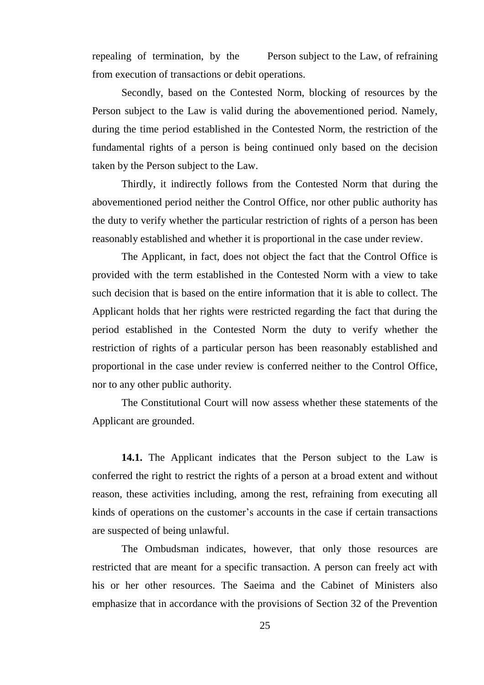repealing of termination, by the Person subject to the Law, of refraining from execution of transactions or debit operations.

Secondly, based on the Contested Norm, blocking of resources by the Person subject to the Law is valid during the abovementioned period. Namely, during the time period established in the Contested Norm, the restriction of the fundamental rights of a person is being continued only based on the decision taken by the Person subject to the Law.

Thirdly, it indirectly follows from the Contested Norm that during the abovementioned period neither the Control Office, nor other public authority has the duty to verify whether the particular restriction of rights of a person has been reasonably established and whether it is proportional in the case under review.

The Applicant, in fact, does not object the fact that the Control Office is provided with the term established in the Contested Norm with a view to take such decision that is based on the entire information that it is able to collect. The Applicant holds that her rights were restricted regarding the fact that during the period established in the Contested Norm the duty to verify whether the restriction of rights of a particular person has been reasonably established and proportional in the case under review is conferred neither to the Control Office, nor to any other public authority.

The Constitutional Court will now assess whether these statements of the Applicant are grounded.

**14.1.** The Applicant indicates that the Person subject to the Law is conferred the right to restrict the rights of a person at a broad extent and without reason, these activities including, among the rest, refraining from executing all kinds of operations on the customer's accounts in the case if certain transactions are suspected of being unlawful.

The Ombudsman indicates, however, that only those resources are restricted that are meant for a specific transaction. A person can freely act with his or her other resources. The Saeima and the Cabinet of Ministers also emphasize that in accordance with the provisions of Section 32 of the Prevention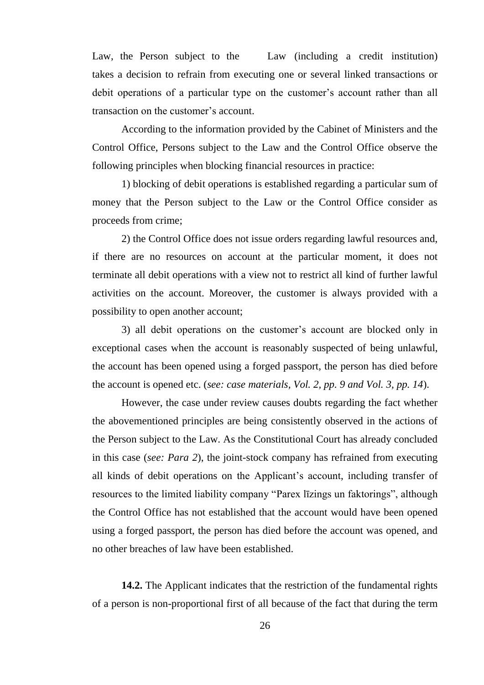Law, the Person subject to the Law (including a credit institution) takes a decision to refrain from executing one or several linked transactions or debit operations of a particular type on the customer's account rather than all transaction on the customer's account.

According to the information provided by the Cabinet of Ministers and the Control Office, Persons subject to the Law and the Control Office observe the following principles when blocking financial resources in practice:

1) blocking of debit operations is established regarding a particular sum of money that the Person subject to the Law or the Control Office consider as proceeds from crime;

2) the Control Office does not issue orders regarding lawful resources and, if there are no resources on account at the particular moment, it does not terminate all debit operations with a view not to restrict all kind of further lawful activities on the account. Moreover, the customer is always provided with a possibility to open another account;

3) all debit operations on the customer's account are blocked only in exceptional cases when the account is reasonably suspected of being unlawful, the account has been opened using a forged passport, the person has died before the account is opened etc. (*see: case materials, Vol. 2, pp. 9 and Vol. 3, pp. 14*).

However, the case under review causes doubts regarding the fact whether the abovementioned principles are being consistently observed in the actions of the Person subject to the Law. As the Constitutional Court has already concluded in this case (*see: Para 2*), the joint-stock company has refrained from executing all kinds of debit operations on the Applicant's account, including transfer of resources to the limited liability company "Parex līzings un faktorings", although the Control Office has not established that the account would have been opened using a forged passport, the person has died before the account was opened, and no other breaches of law have been established.

**14.2.** The Applicant indicates that the restriction of the fundamental rights of a person is non-proportional first of all because of the fact that during the term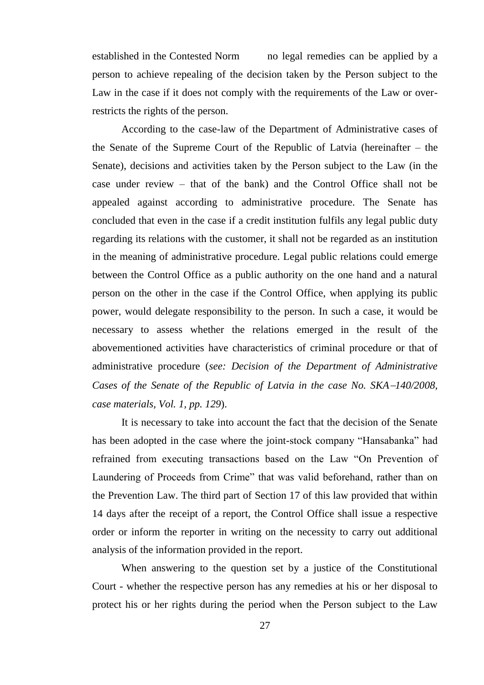established in the Contested Norm no legal remedies can be applied by a person to achieve repealing of the decision taken by the Person subject to the Law in the case if it does not comply with the requirements of the Law or overrestricts the rights of the person.

According to the case-law of the Department of Administrative cases of the Senate of the Supreme Court of the Republic of Latvia (hereinafter – the Senate), decisions and activities taken by the Person subject to the Law (in the case under review – that of the bank) and the Control Office shall not be appealed against according to administrative procedure. The Senate has concluded that even in the case if a credit institution fulfils any legal public duty regarding its relations with the customer, it shall not be regarded as an institution in the meaning of administrative procedure. Legal public relations could emerge between the Control Office as a public authority on the one hand and a natural person on the other in the case if the Control Office, when applying its public power, would delegate responsibility to the person. In such a case, it would be necessary to assess whether the relations emerged in the result of the abovementioned activities have characteristics of criminal procedure or that of administrative procedure (*see: Decision of the Department of Administrative Cases of the Senate of the Republic of Latvia in the case No. SKA140/2008, case materials, Vol. 1, pp. 129*).

It is necessary to take into account the fact that the decision of the Senate has been adopted in the case where the joint-stock company "Hansabanka" had refrained from executing transactions based on the Law "On Prevention of Laundering of Proceeds from Crime" that was valid beforehand, rather than on the Prevention Law. The third part of Section 17 of this law provided that within 14 days after the receipt of a report, the Control Office shall issue a respective order or inform the reporter in writing on the necessity to carry out additional analysis of the information provided in the report.

When answering to the question set by a justice of the Constitutional Court - whether the respective person has any remedies at his or her disposal to protect his or her rights during the period when the Person subject to the Law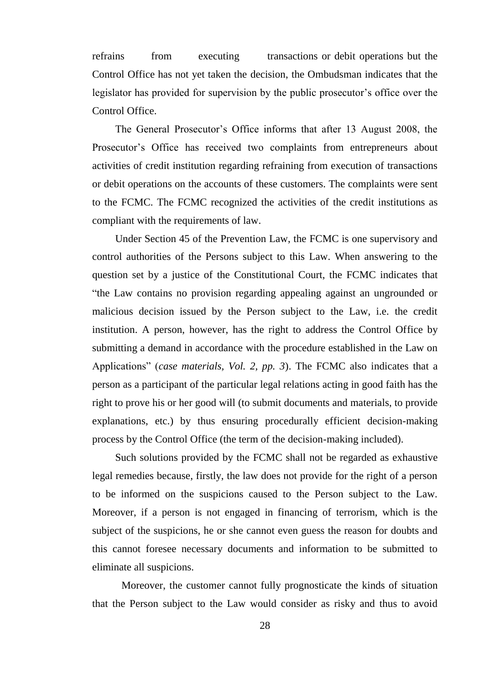refrains from executing transactions or debit operations but the Control Office has not yet taken the decision, the Ombudsman indicates that the legislator has provided for supervision by the public prosecutor's office over the Control Office.

The General Prosecutor's Office informs that after 13 August 2008, the Prosecutor's Office has received two complaints from entrepreneurs about activities of credit institution regarding refraining from execution of transactions or debit operations on the accounts of these customers. The complaints were sent to the FCMC. The FCMC recognized the activities of the credit institutions as compliant with the requirements of law.

Under Section 45 of the Prevention Law, the FCMC is one supervisory and control authorities of the Persons subject to this Law. When answering to the question set by a justice of the Constitutional Court, the FCMC indicates that "the Law contains no provision regarding appealing against an ungrounded or malicious decision issued by the Person subject to the Law, i.e. the credit institution. A person, however, has the right to address the Control Office by submitting a demand in accordance with the procedure established in the Law on Applications" (*case materials, Vol. 2, pp. 3*). The FCMC also indicates that a person as a participant of the particular legal relations acting in good faith has the right to prove his or her good will (to submit documents and materials, to provide explanations, etc.) by thus ensuring procedurally efficient decision-making process by the Control Office (the term of the decision-making included).

Such solutions provided by the FCMC shall not be regarded as exhaustive legal remedies because, firstly, the law does not provide for the right of a person to be informed on the suspicions caused to the Person subject to the Law. Moreover, if a person is not engaged in financing of terrorism, which is the subject of the suspicions, he or she cannot even guess the reason for doubts and this cannot foresee necessary documents and information to be submitted to eliminate all suspicions.

Moreover, the customer cannot fully prognosticate the kinds of situation that the Person subject to the Law would consider as risky and thus to avoid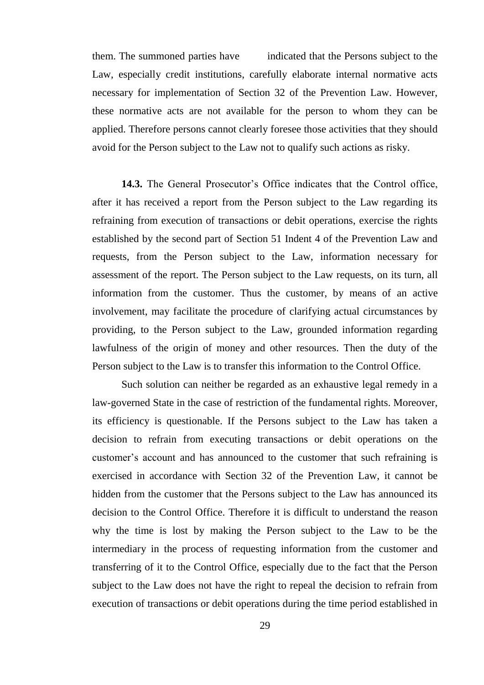them. The summoned parties have indicated that the Persons subject to the Law, especially credit institutions, carefully elaborate internal normative acts necessary for implementation of Section 32 of the Prevention Law. However, these normative acts are not available for the person to whom they can be applied. Therefore persons cannot clearly foresee those activities that they should avoid for the Person subject to the Law not to qualify such actions as risky.

**14.3.** The General Prosecutor's Office indicates that the Control office, after it has received a report from the Person subject to the Law regarding its refraining from execution of transactions or debit operations, exercise the rights established by the second part of Section 51 Indent 4 of the Prevention Law and requests, from the Person subject to the Law, information necessary for assessment of the report. The Person subject to the Law requests, on its turn, all information from the customer. Thus the customer, by means of an active involvement, may facilitate the procedure of clarifying actual circumstances by providing, to the Person subject to the Law, grounded information regarding lawfulness of the origin of money and other resources. Then the duty of the Person subject to the Law is to transfer this information to the Control Office.

Such solution can neither be regarded as an exhaustive legal remedy in a law-governed State in the case of restriction of the fundamental rights. Moreover, its efficiency is questionable. If the Persons subject to the Law has taken a decision to refrain from executing transactions or debit operations on the customer's account and has announced to the customer that such refraining is exercised in accordance with Section 32 of the Prevention Law, it cannot be hidden from the customer that the Persons subject to the Law has announced its decision to the Control Office. Therefore it is difficult to understand the reason why the time is lost by making the Person subject to the Law to be the intermediary in the process of requesting information from the customer and transferring of it to the Control Office, especially due to the fact that the Person subject to the Law does not have the right to repeal the decision to refrain from execution of transactions or debit operations during the time period established in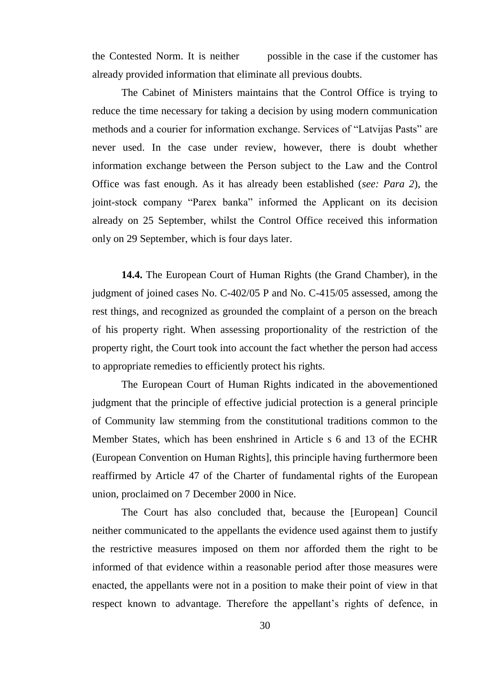the Contested Norm. It is neither possible in the case if the customer has already provided information that eliminate all previous doubts.

The Cabinet of Ministers maintains that the Control Office is trying to reduce the time necessary for taking a decision by using modern communication methods and a courier for information exchange. Services of "Latvijas Pasts" are never used. In the case under review, however, there is doubt whether information exchange between the Person subject to the Law and the Control Office was fast enough. As it has already been established (*see: Para 2*), the joint-stock company "Parex banka" informed the Applicant on its decision already on 25 September, whilst the Control Office received this information only on 29 September, which is four days later.

**14.4.** The European Court of Human Rights (the Grand Chamber), in the judgment of joined cases No. C-402/05 P and No. C-415/05 assessed, among the rest things, and recognized as grounded the complaint of a person on the breach of his property right. When assessing proportionality of the restriction of the property right, the Court took into account the fact whether the person had access to appropriate remedies to efficiently protect his rights.

The European Court of Human Rights indicated in the abovementioned judgment that the principle of effective judicial protection is a general principle of Community law stemming from the constitutional traditions common to the Member States, which has been enshrined in Article s 6 and 13 of the ECHR (European Convention on Human Rights], this principle having furthermore been reaffirmed by Article 47 of the Charter of fundamental rights of the European union, proclaimed on 7 December 2000 in Nice.

The Court has also concluded that, because the [European] Council neither communicated to the appellants the evidence used against them to justify the restrictive measures imposed on them nor afforded them the right to be informed of that evidence within a reasonable period after those measures were enacted, the appellants were not in a position to make their point of view in that respect known to advantage. Therefore the appellant's rights of defence, in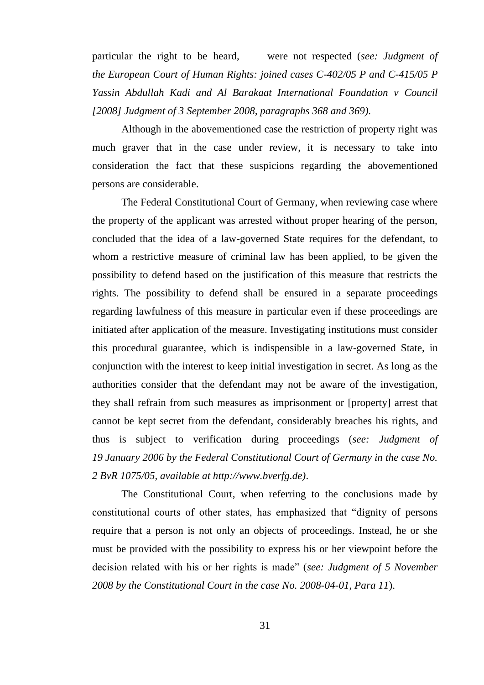particular the right to be heard, were not respected (*see: Judgment of the European Court of Human Rights: joined cases C-402/05 P and C-415/05 P Yassin Abdullah Kadi and Al Barakaat International Foundation v Council [2008] Judgment of 3 September 2008, paragraphs 368 and 369).*

Although in the abovementioned case the restriction of property right was much graver that in the case under review, it is necessary to take into consideration the fact that these suspicions regarding the abovementioned persons are considerable.

The Federal Constitutional Court of Germany, when reviewing case where the property of the applicant was arrested without proper hearing of the person, concluded that the idea of a law-governed State requires for the defendant, to whom a restrictive measure of criminal law has been applied, to be given the possibility to defend based on the justification of this measure that restricts the rights. The possibility to defend shall be ensured in a separate proceedings regarding lawfulness of this measure in particular even if these proceedings are initiated after application of the measure. Investigating institutions must consider this procedural guarantee, which is indispensible in a law-governed State, in conjunction with the interest to keep initial investigation in secret. As long as the authorities consider that the defendant may not be aware of the investigation, they shall refrain from such measures as imprisonment or [property] arrest that cannot be kept secret from the defendant, considerably breaches his rights, and thus is subject to verification during proceedings (*see: Judgment of 19 January 2006 by the Federal Constitutional Court of Germany in the case No. 2 BvR 1075/05, available at http://www.bverfg.de)*.

The Constitutional Court, when referring to the conclusions made by constitutional courts of other states, has emphasized that "dignity of persons require that a person is not only an objects of proceedings. Instead, he or she must be provided with the possibility to express his or her viewpoint before the decision related with his or her rights is made" (*see: Judgment of 5 November 2008 by the Constitutional Court in the case No. 2008-04-01, Para 11*).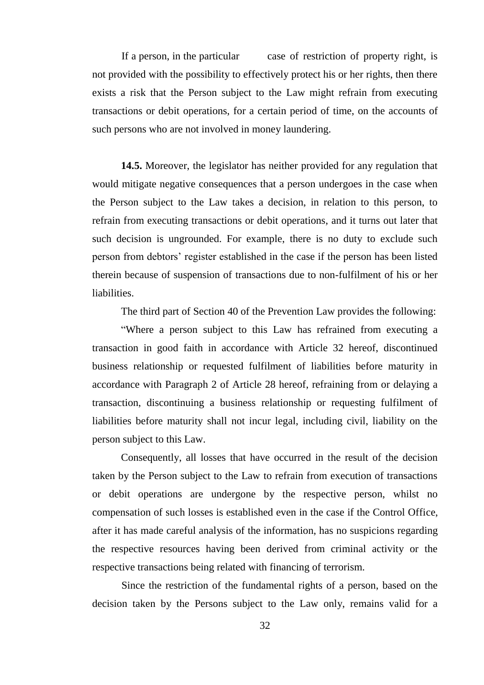If a person, in the particular case of restriction of property right, is not provided with the possibility to effectively protect his or her rights, then there exists a risk that the Person subject to the Law might refrain from executing transactions or debit operations, for a certain period of time, on the accounts of such persons who are not involved in money laundering.

**14.5.** Moreover, the legislator has neither provided for any regulation that would mitigate negative consequences that a person undergoes in the case when the Person subject to the Law takes a decision, in relation to this person, to refrain from executing transactions or debit operations, and it turns out later that such decision is ungrounded. For example, there is no duty to exclude such person from debtors' register established in the case if the person has been listed therein because of suspension of transactions due to non-fulfilment of his or her liabilities.

The third part of Section 40 of the Prevention Law provides the following:

"Where a person subject to this Law has refrained from executing a transaction in good faith in accordance with Article 32 hereof, discontinued business relationship or requested fulfilment of liabilities before maturity in accordance with Paragraph 2 of Article 28 hereof, refraining from or delaying a transaction, discontinuing a business relationship or requesting fulfilment of liabilities before maturity shall not incur legal, including civil, liability on the person subject to this Law.

Consequently, all losses that have occurred in the result of the decision taken by the Person subject to the Law to refrain from execution of transactions or debit operations are undergone by the respective person, whilst no compensation of such losses is established even in the case if the Control Office, after it has made careful analysis of the information, has no suspicions regarding the respective resources having been derived from criminal activity or the respective transactions being related with financing of terrorism.

Since the restriction of the fundamental rights of a person, based on the decision taken by the Persons subject to the Law only, remains valid for a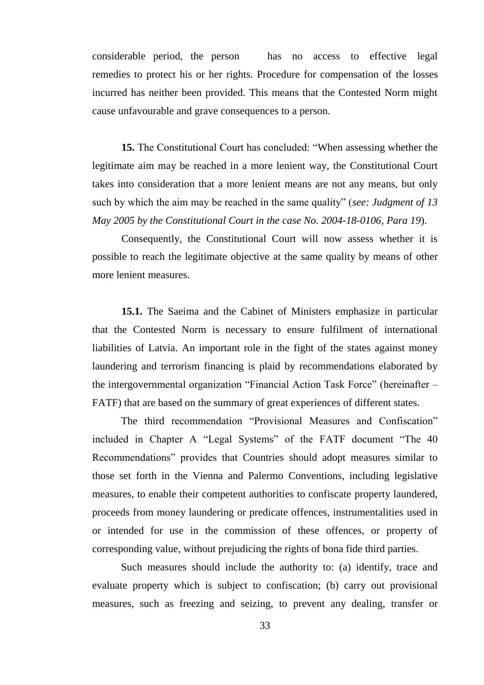considerable period, the person has no access to effective legal remedies to protect his or her rights. Procedure for compensation of the losses incurred has neither been provided. This means that the Contested Norm might cause unfavourable and grave consequences to a person.

**15.** The Constitutional Court has concluded: "When assessing whether the legitimate aim may be reached in a more lenient way, the Constitutional Court takes into consideration that a more lenient means are not any means, but only such by which the aim may be reached in the same quality" (*see: Judgment of 13 May 2005 by the Constitutional Court in the case No. 2004-18-0106, Para 19*).

Consequently, the Constitutional Court will now assess whether it is possible to reach the legitimate objective at the same quality by means of other more lenient measures.

**15.1.** The Saeima and the Cabinet of Ministers emphasize in particular that the Contested Norm is necessary to ensure fulfilment of international liabilities of Latvia. An important role in the fight of the states against money laundering and terrorism financing is plaid by recommendations elaborated by the intergovernmental organization "Financial Action Task Force" (hereinafter – FATF) that are based on the summary of great experiences of different states.

The third recommendation "Provisional Measures and Confiscation" included in Chapter A "Legal Systems" of the FATF document "The 40 Recommendations" provides that Countries should adopt measures similar to those set forth in the Vienna and Palermo Conventions, including legislative measures, to enable their competent authorities to confiscate property laundered, proceeds from money laundering or predicate offences, instrumentalities used in or intended for use in the commission of these offences, or property of corresponding value, without prejudicing the rights of bona fide third parties.

Such measures should include the authority to: (a) identify, trace and evaluate property which is subject to confiscation; (b) carry out provisional measures, such as freezing and seizing, to prevent any dealing, transfer or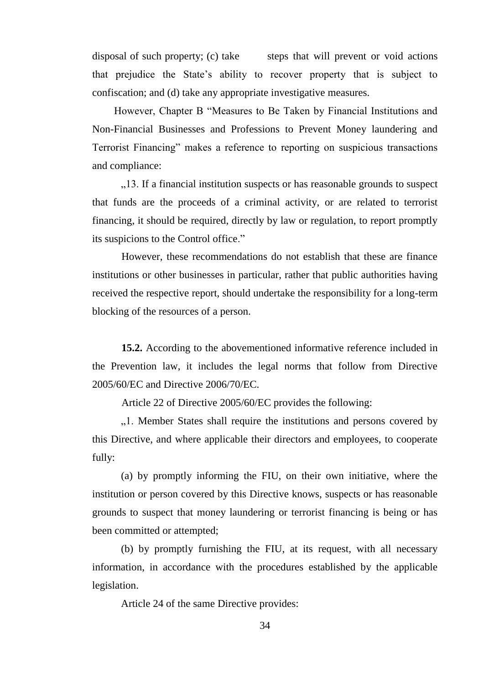disposal of such property; (c) take steps that will prevent or void actions that prejudice the State's ability to recover property that is subject to confiscation; and (d) take any appropriate investigative measures.

However, Chapter B "Measures to Be Taken by Financial Institutions and Non-Financial Businesses and Professions to Prevent Money laundering and Terrorist Financing" makes a reference to reporting on suspicious transactions and compliance:

...13. If a financial institution suspects or has reasonable grounds to suspect that funds are the proceeds of a criminal activity, or are related to terrorist financing, it should be required, directly by law or regulation, to report promptly its suspicions to the Control office."

However, these recommendations do not establish that these are finance institutions or other businesses in particular, rather that public authorities having received the respective report, should undertake the responsibility for a long-term blocking of the resources of a person.

**15.2.** According to the abovementioned informative reference included in the Prevention law, it includes the legal norms that follow from Directive 2005/60/EC and Directive 2006/70/EC.

Article 22 of Directive 2005/60/EC provides the following:

"...I. Member States shall require the institutions and persons covered by this Directive, and where applicable their directors and employees, to cooperate fully:

(a) by promptly informing the FIU, on their own initiative, where the institution or person covered by this Directive knows, suspects or has reasonable grounds to suspect that money laundering or terrorist financing is being or has been committed or attempted;

(b) by promptly furnishing the FIU, at its request, with all necessary information, in accordance with the procedures established by the applicable legislation.

Article 24 of the same Directive provides: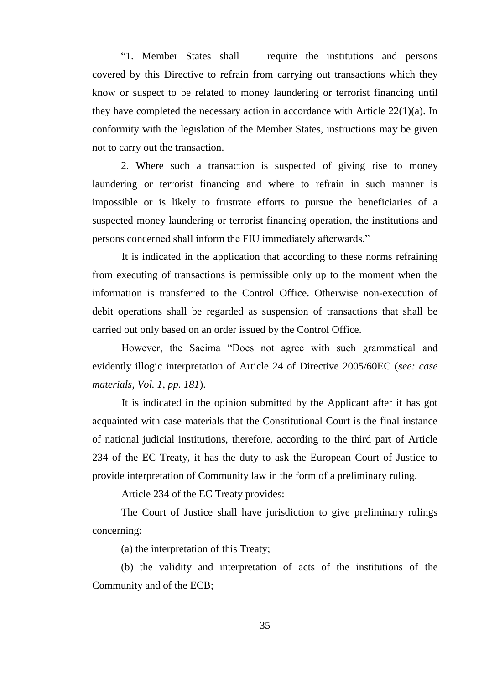"1. Member States shall require the institutions and persons covered by this Directive to refrain from carrying out transactions which they know or suspect to be related to money laundering or terrorist financing until they have completed the necessary action in accordance with Article 22(1)(a). In conformity with the legislation of the Member States, instructions may be given not to carry out the transaction.

2. Where such a transaction is suspected of giving rise to money laundering or terrorist financing and where to refrain in such manner is impossible or is likely to frustrate efforts to pursue the beneficiaries of a suspected money laundering or terrorist financing operation, the institutions and persons concerned shall inform the FIU immediately afterwards."

It is indicated in the application that according to these norms refraining from executing of transactions is permissible only up to the moment when the information is transferred to the Control Office. Otherwise non-execution of debit operations shall be regarded as suspension of transactions that shall be carried out only based on an order issued by the Control Office.

However, the Saeima "Does not agree with such grammatical and evidently illogic interpretation of Article 24 of Directive 2005/60EC (*see: case materials, Vol. 1, pp. 181*).

It is indicated in the opinion submitted by the Applicant after it has got acquainted with case materials that the Constitutional Court is the final instance of national judicial institutions, therefore, according to the third part of Article 234 of the EC Treaty, it has the duty to ask the European Court of Justice to provide interpretation of Community law in the form of a preliminary ruling.

Article 234 of the EC Treaty provides:

The Court of Justice shall have jurisdiction to give preliminary rulings concerning:

(a) the interpretation of this Treaty;

(b) the validity and interpretation of acts of the institutions of the Community and of the ECB;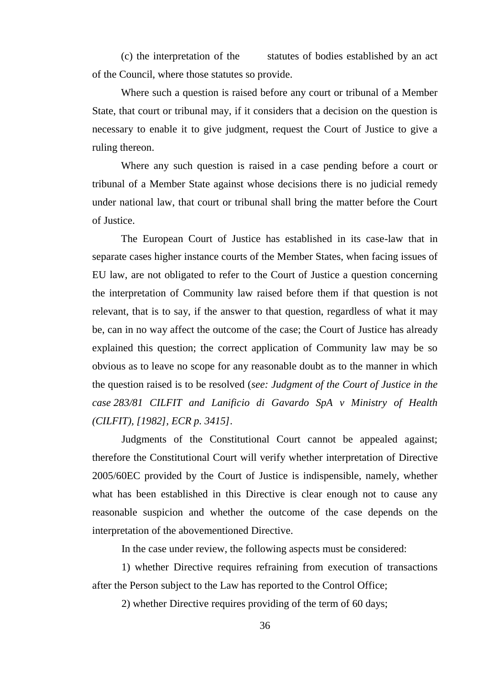(c) the interpretation of the statutes of bodies established by an act of the Council, where those statutes so provide.

Where such a question is raised before any court or tribunal of a Member State, that court or tribunal may, if it considers that a decision on the question is necessary to enable it to give judgment, request the Court of Justice to give a ruling thereon.

Where any such question is raised in a case pending before a court or tribunal of a Member State against whose decisions there is no judicial remedy under national law, that court or tribunal shall bring the matter before the Court of Justice.

The European Court of Justice has established in its case-law that in separate cases higher instance courts of the Member States, when facing issues of EU law, are not obligated to refer to the Court of Justice a question concerning the interpretation of Community law raised before them if that question is not relevant, that is to say, if the answer to that question, regardless of what it may be, can in no way affect the outcome of the case; the Court of Justice has already explained this question; the correct application of Community law may be so obvious as to leave no scope for any reasonable doubt as to the manner in which the question raised is to be resolved (*see: Judgment of the Court of Justice in the case 283/81 CILFIT and Lanificio di Gavardo SpA v Ministry of Health (CILFIT), [1982], ECR p. 3415]*.

Judgments of the Constitutional Court cannot be appealed against; therefore the Constitutional Court will verify whether interpretation of Directive 2005/60EC provided by the Court of Justice is indispensible, namely, whether what has been established in this Directive is clear enough not to cause any reasonable suspicion and whether the outcome of the case depends on the interpretation of the abovementioned Directive.

In the case under review, the following aspects must be considered:

1) whether Directive requires refraining from execution of transactions after the Person subject to the Law has reported to the Control Office;

2) whether Directive requires providing of the term of 60 days;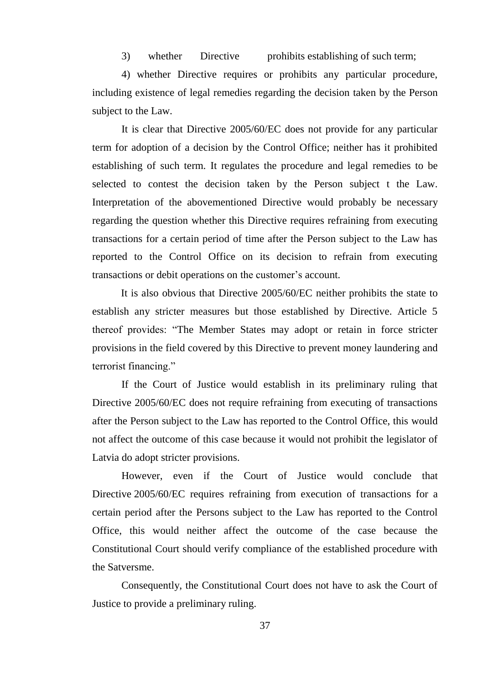3) whether Directive prohibits establishing of such term;

4) whether Directive requires or prohibits any particular procedure, including existence of legal remedies regarding the decision taken by the Person subject to the Law.

It is clear that Directive 2005/60/EC does not provide for any particular term for adoption of a decision by the Control Office; neither has it prohibited establishing of such term. It regulates the procedure and legal remedies to be selected to contest the decision taken by the Person subject t the Law. Interpretation of the abovementioned Directive would probably be necessary regarding the question whether this Directive requires refraining from executing transactions for a certain period of time after the Person subject to the Law has reported to the Control Office on its decision to refrain from executing transactions or debit operations on the customer's account.

It is also obvious that Directive 2005/60/EC neither prohibits the state to establish any stricter measures but those established by Directive. Article 5 thereof provides: "The Member States may adopt or retain in force stricter provisions in the field covered by this Directive to prevent money laundering and terrorist financing."

If the Court of Justice would establish in its preliminary ruling that Directive 2005/60/EC does not require refraining from executing of transactions after the Person subject to the Law has reported to the Control Office, this would not affect the outcome of this case because it would not prohibit the legislator of Latvia do adopt stricter provisions.

However, even if the Court of Justice would conclude that Directive 2005/60/EC requires refraining from execution of transactions for a certain period after the Persons subject to the Law has reported to the Control Office, this would neither affect the outcome of the case because the Constitutional Court should verify compliance of the established procedure with the Satversme.

Consequently, the Constitutional Court does not have to ask the Court of Justice to provide a preliminary ruling.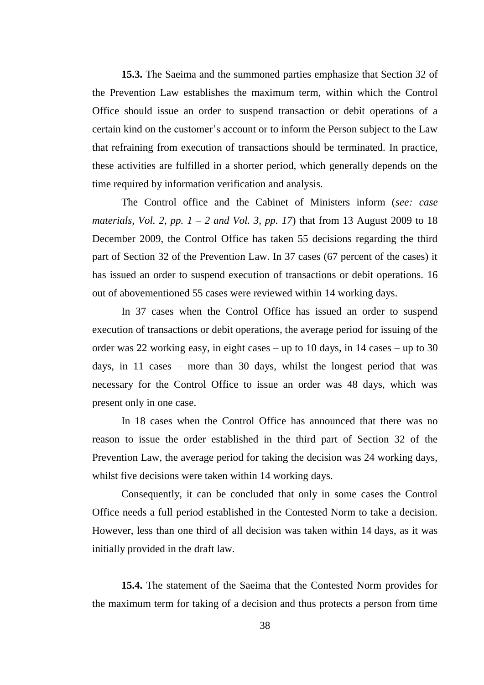**15.3.** The Saeima and the summoned parties emphasize that Section 32 of the Prevention Law establishes the maximum term, within which the Control Office should issue an order to suspend transaction or debit operations of a certain kind on the customer's account or to inform the Person subject to the Law that refraining from execution of transactions should be terminated. In practice, these activities are fulfilled in a shorter period, which generally depends on the time required by information verification and analysis.

The Control office and the Cabinet of Ministers inform (*see: case materials, Vol. 2, pp.*  $1 - 2$  *and Vol. 3, pp. 17*) that from 13 August 2009 to 18 December 2009, the Control Office has taken 55 decisions regarding the third part of Section 32 of the Prevention Law. In 37 cases (67 percent of the cases) it has issued an order to suspend execution of transactions or debit operations. 16 out of abovementioned 55 cases were reviewed within 14 working days.

In 37 cases when the Control Office has issued an order to suspend execution of transactions or debit operations, the average period for issuing of the order was 22 working easy, in eight cases – up to 10 days, in 14 cases – up to 30 days, in 11 cases – more than 30 days, whilst the longest period that was necessary for the Control Office to issue an order was 48 days, which was present only in one case.

In 18 cases when the Control Office has announced that there was no reason to issue the order established in the third part of Section 32 of the Prevention Law, the average period for taking the decision was 24 working days, whilst five decisions were taken within 14 working days.

Consequently, it can be concluded that only in some cases the Control Office needs a full period established in the Contested Norm to take a decision. However, less than one third of all decision was taken within 14 days, as it was initially provided in the draft law.

**15.4.** The statement of the Saeima that the Contested Norm provides for the maximum term for taking of a decision and thus protects a person from time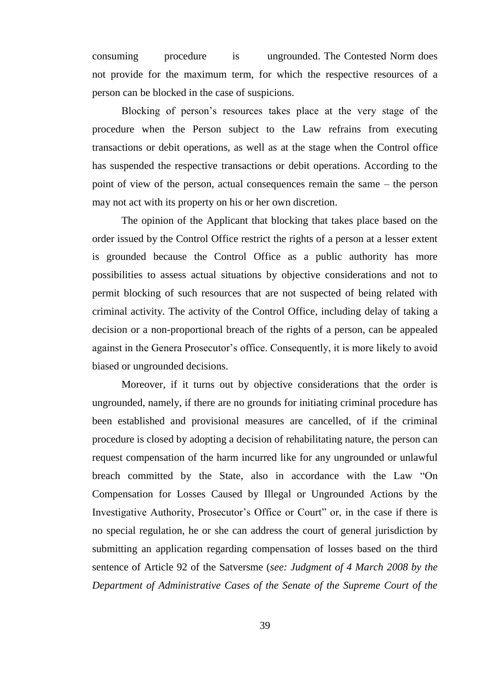consuming procedure is ungrounded. The Contested Norm does not provide for the maximum term, for which the respective resources of a person can be blocked in the case of suspicions.

Blocking of person's resources takes place at the very stage of the procedure when the Person subject to the Law refrains from executing transactions or debit operations, as well as at the stage when the Control office has suspended the respective transactions or debit operations. According to the point of view of the person, actual consequences remain the same – the person may not act with its property on his or her own discretion.

The opinion of the Applicant that blocking that takes place based on the order issued by the Control Office restrict the rights of a person at a lesser extent is grounded because the Control Office as a public authority has more possibilities to assess actual situations by objective considerations and not to permit blocking of such resources that are not suspected of being related with criminal activity. The activity of the Control Office, including delay of taking a decision or a non-proportional breach of the rights of a person, can be appealed against in the Genera Prosecutor's office. Consequently, it is more likely to avoid biased or ungrounded decisions.

Moreover, if it turns out by objective considerations that the order is ungrounded, namely, if there are no grounds for initiating criminal procedure has been established and provisional measures are cancelled, of if the criminal procedure is closed by adopting a decision of rehabilitating nature, the person can request compensation of the harm incurred like for any ungrounded or unlawful breach committed by the State, also in accordance with the Law "On Compensation for Losses Caused by Illegal or Ungrounded Actions by the Investigative Authority, Prosecutor's Office or Court" or, in the case if there is no special regulation, he or she can address the court of general jurisdiction by submitting an application regarding compensation of losses based on the third sentence of Article 92 of the Satversme (*see: Judgment of 4 March 2008 by the Department of Administrative Cases of the Senate of the Supreme Court of the*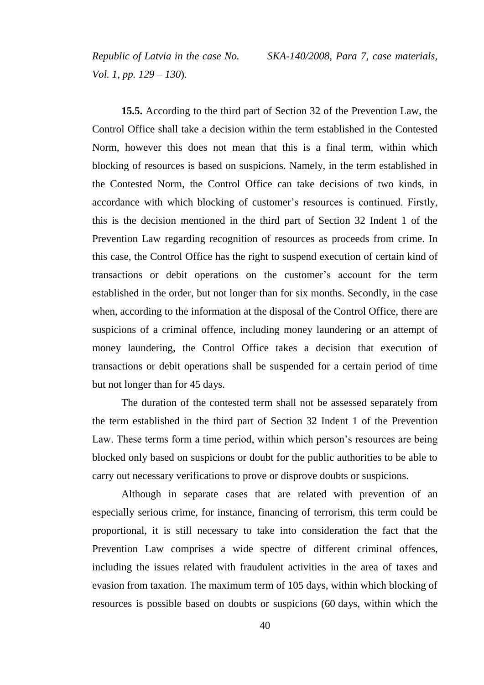*Vol. 1, pp. 129 – 130*).

*Republic of Latvia in the case No. SKA-140/2008, Para 7, case materials,* 

**15.5.** According to the third part of Section 32 of the Prevention Law, the Control Office shall take a decision within the term established in the Contested Norm, however this does not mean that this is a final term, within which blocking of resources is based on suspicions. Namely, in the term established in the Contested Norm, the Control Office can take decisions of two kinds, in accordance with which blocking of customer's resources is continued. Firstly, this is the decision mentioned in the third part of Section 32 Indent 1 of the Prevention Law regarding recognition of resources as proceeds from crime. In this case, the Control Office has the right to suspend execution of certain kind of transactions or debit operations on the customer's account for the term established in the order, but not longer than for six months. Secondly, in the case when, according to the information at the disposal of the Control Office, there are suspicions of a criminal offence, including money laundering or an attempt of money laundering, the Control Office takes a decision that execution of transactions or debit operations shall be suspended for a certain period of time but not longer than for 45 days.

The duration of the contested term shall not be assessed separately from the term established in the third part of Section 32 Indent 1 of the Prevention Law. These terms form a time period, within which person's resources are being blocked only based on suspicions or doubt for the public authorities to be able to carry out necessary verifications to prove or disprove doubts or suspicions.

Although in separate cases that are related with prevention of an especially serious crime, for instance, financing of terrorism, this term could be proportional, it is still necessary to take into consideration the fact that the Prevention Law comprises a wide spectre of different criminal offences, including the issues related with fraudulent activities in the area of taxes and evasion from taxation. The maximum term of 105 days, within which blocking of resources is possible based on doubts or suspicions (60 days, within which the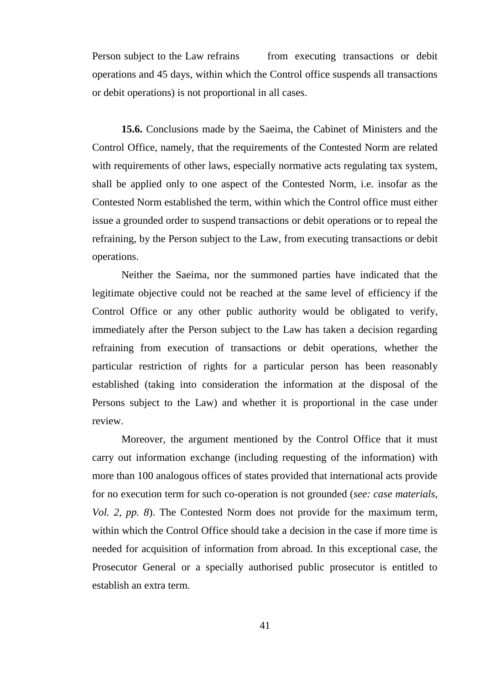Person subject to the Law refrains from executing transactions or debit operations and 45 days, within which the Control office suspends all transactions or debit operations) is not proportional in all cases.

**15.6.** Conclusions made by the Saeima, the Cabinet of Ministers and the Control Office, namely, that the requirements of the Contested Norm are related with requirements of other laws, especially normative acts regulating tax system, shall be applied only to one aspect of the Contested Norm, i.e. insofar as the Contested Norm established the term, within which the Control office must either issue a grounded order to suspend transactions or debit operations or to repeal the refraining, by the Person subject to the Law, from executing transactions or debit operations.

Neither the Saeima, nor the summoned parties have indicated that the legitimate objective could not be reached at the same level of efficiency if the Control Office or any other public authority would be obligated to verify, immediately after the Person subject to the Law has taken a decision regarding refraining from execution of transactions or debit operations, whether the particular restriction of rights for a particular person has been reasonably established (taking into consideration the information at the disposal of the Persons subject to the Law) and whether it is proportional in the case under review.

Moreover, the argument mentioned by the Control Office that it must carry out information exchange (including requesting of the information) with more than 100 analogous offices of states provided that international acts provide for no execution term for such co-operation is not grounded (*see: case materials, Vol. 2, pp. 8*). The Contested Norm does not provide for the maximum term, within which the Control Office should take a decision in the case if more time is needed for acquisition of information from abroad. In this exceptional case, the Prosecutor General or a specially authorised public prosecutor is entitled to establish an extra term.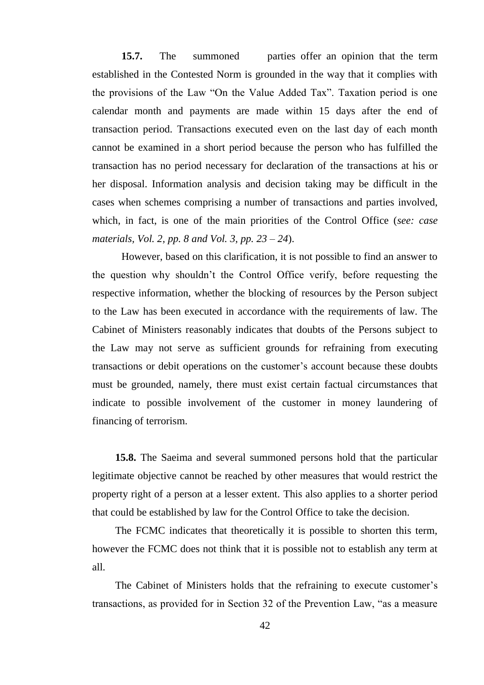**15.7.** The summoned parties offer an opinion that the term established in the Contested Norm is grounded in the way that it complies with the provisions of the Law "On the Value Added Tax". Taxation period is one calendar month and payments are made within 15 days after the end of transaction period. Transactions executed even on the last day of each month cannot be examined in a short period because the person who has fulfilled the transaction has no period necessary for declaration of the transactions at his or her disposal. Information analysis and decision taking may be difficult in the cases when schemes comprising a number of transactions and parties involved, which, in fact, is one of the main priorities of the Control Office (*see: case materials, Vol. 2, pp. 8 and Vol. 3, pp. 23 – 24*).

However, based on this clarification, it is not possible to find an answer to the question why shouldn't the Control Office verify, before requesting the respective information, whether the blocking of resources by the Person subject to the Law has been executed in accordance with the requirements of law. The Cabinet of Ministers reasonably indicates that doubts of the Persons subject to the Law may not serve as sufficient grounds for refraining from executing transactions or debit operations on the customer's account because these doubts must be grounded, namely, there must exist certain factual circumstances that indicate to possible involvement of the customer in money laundering of financing of terrorism.

**15.8.** The Saeima and several summoned persons hold that the particular legitimate objective cannot be reached by other measures that would restrict the property right of a person at a lesser extent. This also applies to a shorter period that could be established by law for the Control Office to take the decision.

The FCMC indicates that theoretically it is possible to shorten this term, however the FCMC does not think that it is possible not to establish any term at all.

The Cabinet of Ministers holds that the refraining to execute customer's transactions, as provided for in Section 32 of the Prevention Law, "as a measure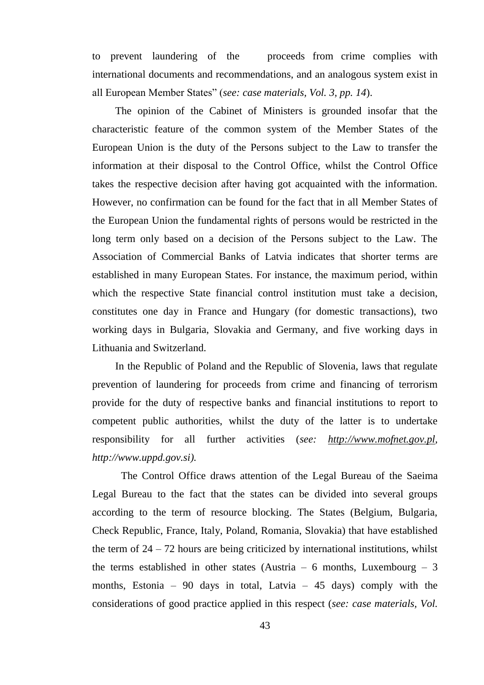to prevent laundering of the proceeds from crime complies with international documents and recommendations, and an analogous system exist in all European Member States" (*see: case materials, Vol. 3, pp. 14*).

The opinion of the Cabinet of Ministers is grounded insofar that the characteristic feature of the common system of the Member States of the European Union is the duty of the Persons subject to the Law to transfer the information at their disposal to the Control Office, whilst the Control Office takes the respective decision after having got acquainted with the information. However, no confirmation can be found for the fact that in all Member States of the European Union the fundamental rights of persons would be restricted in the long term only based on a decision of the Persons subject to the Law. The Association of Commercial Banks of Latvia indicates that shorter terms are established in many European States. For instance, the maximum period, within which the respective State financial control institution must take a decision, constitutes one day in France and Hungary (for domestic transactions), two working days in Bulgaria, Slovakia and Germany, and five working days in Lithuania and Switzerland.

In the Republic of Poland and the Republic of Slovenia, laws that regulate prevention of laundering for proceeds from crime and financing of terrorism provide for the duty of respective banks and financial institutions to report to competent public authorities, whilst the duty of the latter is to undertake responsibility for all further activities (*see: [http://www.mofnet.gov.pl,](http://www.mofnet.gov.pl/) http://www.uppd.gov.si).*

The Control Office draws attention of the Legal Bureau of the Saeima Legal Bureau to the fact that the states can be divided into several groups according to the term of resource blocking. The States (Belgium, Bulgaria, Check Republic, France, Italy, Poland, Romania, Slovakia) that have established the term of  $24 - 72$  hours are being criticized by international institutions, whilst the terms established in other states (Austria – 6 months, Luxembourg – 3 months, Estonia – 90 days in total, Latvia – 45 days) comply with the considerations of good practice applied in this respect (*see: case materials, Vol.*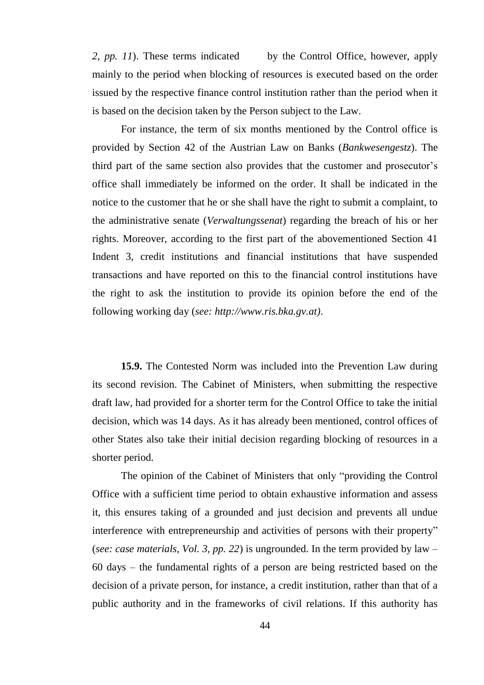2, pp. 11). These terms indicated by the Control Office, however, apply mainly to the period when blocking of resources is executed based on the order issued by the respective finance control institution rather than the period when it is based on the decision taken by the Person subject to the Law.

For instance, the term of six months mentioned by the Control office is provided by Section 42 of the Austrian Law on Banks (*Bankwesengestz*). The third part of the same section also provides that the customer and prosecutor's office shall immediately be informed on the order. It shall be indicated in the notice to the customer that he or she shall have the right to submit a complaint, to the administrative senate (*Verwaltungssenat*) regarding the breach of his or her rights. Moreover, according to the first part of the abovementioned Section 41 Indent 3, credit institutions and financial institutions that have suspended transactions and have reported on this to the financial control institutions have the right to ask the institution to provide its opinion before the end of the following working day (*see: http://www.ris.bka.gv.at)*.

**15.9.** The Contested Norm was included into the Prevention Law during its second revision. The Cabinet of Ministers, when submitting the respective draft law, had provided for a shorter term for the Control Office to take the initial decision, which was 14 days. As it has already been mentioned, control offices of other States also take their initial decision regarding blocking of resources in a shorter period.

The opinion of the Cabinet of Ministers that only "providing the Control Office with a sufficient time period to obtain exhaustive information and assess it, this ensures taking of a grounded and just decision and prevents all undue interference with entrepreneurship and activities of persons with their property" (*see: case materials, Vol. 3, pp. 22*) is ungrounded. In the term provided by law – 60 days – the fundamental rights of a person are being restricted based on the decision of a private person, for instance, a credit institution, rather than that of a public authority and in the frameworks of civil relations. If this authority has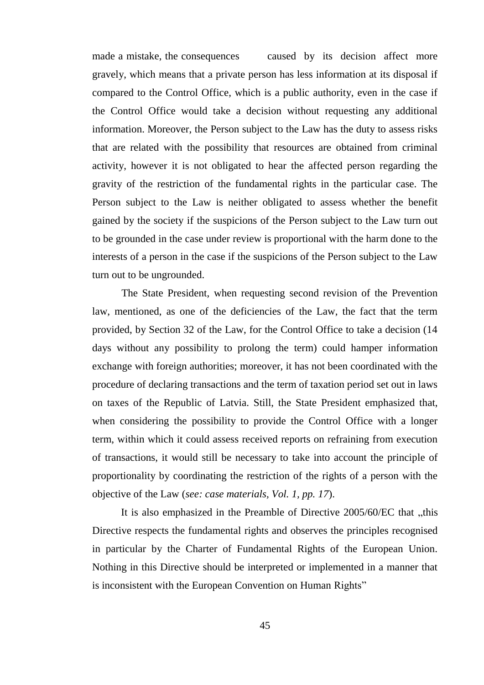made a mistake, the consequences caused by its decision affect more gravely, which means that a private person has less information at its disposal if compared to the Control Office, which is a public authority, even in the case if the Control Office would take a decision without requesting any additional information. Moreover, the Person subject to the Law has the duty to assess risks that are related with the possibility that resources are obtained from criminal activity, however it is not obligated to hear the affected person regarding the gravity of the restriction of the fundamental rights in the particular case. The Person subject to the Law is neither obligated to assess whether the benefit gained by the society if the suspicions of the Person subject to the Law turn out to be grounded in the case under review is proportional with the harm done to the interests of a person in the case if the suspicions of the Person subject to the Law turn out to be ungrounded.

The State President, when requesting second revision of the Prevention law, mentioned, as one of the deficiencies of the Law, the fact that the term provided, by Section 32 of the Law, for the Control Office to take a decision (14 days without any possibility to prolong the term) could hamper information exchange with foreign authorities; moreover, it has not been coordinated with the procedure of declaring transactions and the term of taxation period set out in laws on taxes of the Republic of Latvia. Still, the State President emphasized that, when considering the possibility to provide the Control Office with a longer term, within which it could assess received reports on refraining from execution of transactions, it would still be necessary to take into account the principle of proportionality by coordinating the restriction of the rights of a person with the objective of the Law (*see: case materials, Vol. 1, pp. 17*).

It is also emphasized in the Preamble of Directive  $2005/60/EC$  that  $,$ this Directive respects the fundamental rights and observes the principles recognised in particular by the Charter of Fundamental Rights of the European Union. Nothing in this Directive should be interpreted or implemented in a manner that is inconsistent with the European Convention on Human Rights"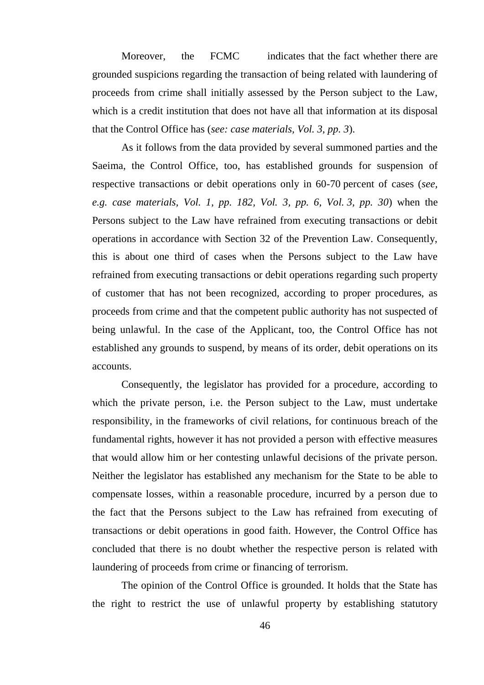Moreover, the FCMC indicates that the fact whether there are grounded suspicions regarding the transaction of being related with laundering of proceeds from crime shall initially assessed by the Person subject to the Law, which is a credit institution that does not have all that information at its disposal that the Control Office has (*see: case materials, Vol. 3, pp. 3*).

As it follows from the data provided by several summoned parties and the Saeima, the Control Office, too, has established grounds for suspension of respective transactions or debit operations only in 60-70 percent of cases (*see, e.g. case materials, Vol. 1, pp. 182, Vol. 3, pp. 6, Vol. 3, pp. 30*) when the Persons subject to the Law have refrained from executing transactions or debit operations in accordance with Section 32 of the Prevention Law. Consequently, this is about one third of cases when the Persons subject to the Law have refrained from executing transactions or debit operations regarding such property of customer that has not been recognized, according to proper procedures, as proceeds from crime and that the competent public authority has not suspected of being unlawful. In the case of the Applicant, too, the Control Office has not established any grounds to suspend, by means of its order, debit operations on its accounts.

Consequently, the legislator has provided for a procedure, according to which the private person, i.e. the Person subject to the Law, must undertake responsibility, in the frameworks of civil relations, for continuous breach of the fundamental rights, however it has not provided a person with effective measures that would allow him or her contesting unlawful decisions of the private person. Neither the legislator has established any mechanism for the State to be able to compensate losses, within a reasonable procedure, incurred by a person due to the fact that the Persons subject to the Law has refrained from executing of transactions or debit operations in good faith. However, the Control Office has concluded that there is no doubt whether the respective person is related with laundering of proceeds from crime or financing of terrorism.

The opinion of the Control Office is grounded. It holds that the State has the right to restrict the use of unlawful property by establishing statutory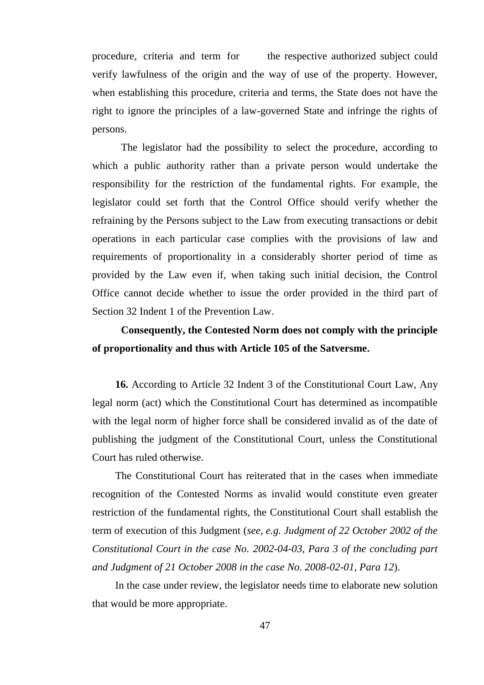procedure, criteria and term for the respective authorized subject could verify lawfulness of the origin and the way of use of the property. However, when establishing this procedure, criteria and terms, the State does not have the right to ignore the principles of a law-governed State and infringe the rights of persons.

The legislator had the possibility to select the procedure, according to which a public authority rather than a private person would undertake the responsibility for the restriction of the fundamental rights. For example, the legislator could set forth that the Control Office should verify whether the refraining by the Persons subject to the Law from executing transactions or debit operations in each particular case complies with the provisions of law and requirements of proportionality in a considerably shorter period of time as provided by the Law even if, when taking such initial decision, the Control Office cannot decide whether to issue the order provided in the third part of Section 32 Indent 1 of the Prevention Law.

### **Consequently, the Contested Norm does not comply with the principle of proportionality and thus with Article 105 of the Satversme.**

**16.** According to Article 32 Indent 3 of the Constitutional Court Law, Any legal norm (act) which the Constitutional Court has determined as incompatible with the legal norm of higher force shall be considered invalid as of the date of publishing the judgment of the Constitutional Court, unless the Constitutional Court has ruled otherwise.

The Constitutional Court has reiterated that in the cases when immediate recognition of the Contested Norms as invalid would constitute even greater restriction of the fundamental rights, the Constitutional Court shall establish the term of execution of this Judgment (*see, e.g. Judgment of 22 October 2002 of the Constitutional Court in the case No. 2002-04-03, Para 3 of the concluding part and Judgment of 21 October 2008 in the case No. 2008-02-01, Para 12*).

In the case under review, the legislator needs time to elaborate new solution that would be more appropriate.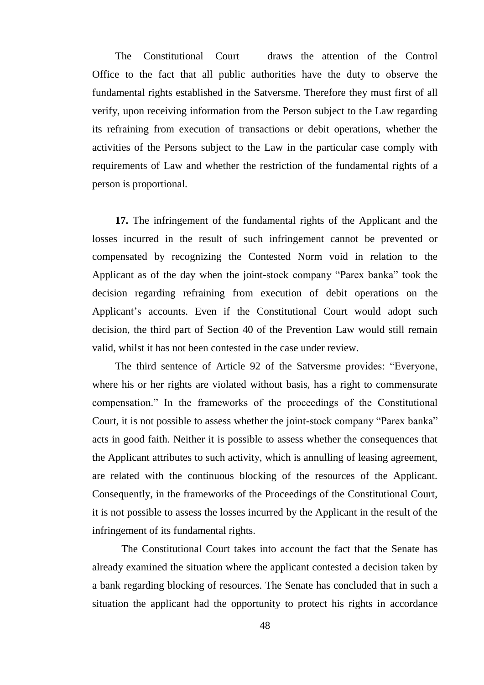The Constitutional Court draws the attention of the Control Office to the fact that all public authorities have the duty to observe the fundamental rights established in the Satversme. Therefore they must first of all verify, upon receiving information from the Person subject to the Law regarding its refraining from execution of transactions or debit operations, whether the activities of the Persons subject to the Law in the particular case comply with requirements of Law and whether the restriction of the fundamental rights of a person is proportional.

**17.** The infringement of the fundamental rights of the Applicant and the losses incurred in the result of such infringement cannot be prevented or compensated by recognizing the Contested Norm void in relation to the Applicant as of the day when the joint-stock company "Parex banka" took the decision regarding refraining from execution of debit operations on the Applicant's accounts. Even if the Constitutional Court would adopt such decision, the third part of Section 40 of the Prevention Law would still remain valid, whilst it has not been contested in the case under review.

The third sentence of Article 92 of the Satversme provides: "Everyone, where his or her rights are violated without basis, has a right to commensurate compensation." In the frameworks of the proceedings of the Constitutional Court, it is not possible to assess whether the joint-stock company "Parex banka" acts in good faith. Neither it is possible to assess whether the consequences that the Applicant attributes to such activity, which is annulling of leasing agreement, are related with the continuous blocking of the resources of the Applicant. Consequently, in the frameworks of the Proceedings of the Constitutional Court, it is not possible to assess the losses incurred by the Applicant in the result of the infringement of its fundamental rights.

The Constitutional Court takes into account the fact that the Senate has already examined the situation where the applicant contested a decision taken by a bank regarding blocking of resources. The Senate has concluded that in such a situation the applicant had the opportunity to protect his rights in accordance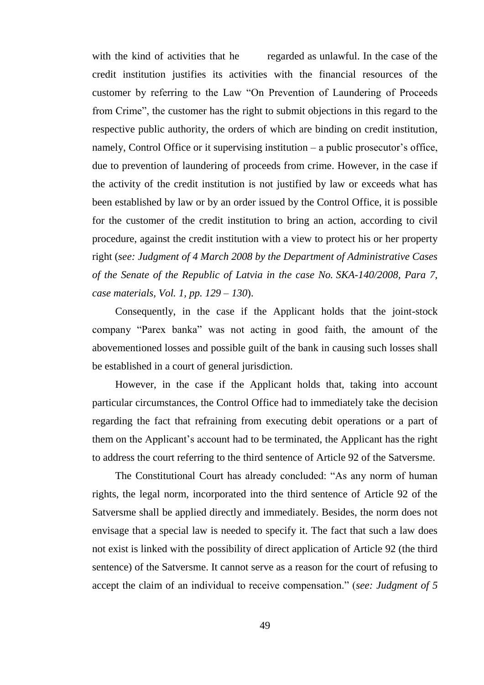with the kind of activities that he regarded as unlawful. In the case of the credit institution justifies its activities with the financial resources of the customer by referring to the Law "On Prevention of Laundering of Proceeds from Crime", the customer has the right to submit objections in this regard to the respective public authority, the orders of which are binding on credit institution, namely, Control Office or it supervising institution – a public prosecutor's office, due to prevention of laundering of proceeds from crime. However, in the case if the activity of the credit institution is not justified by law or exceeds what has been established by law or by an order issued by the Control Office, it is possible for the customer of the credit institution to bring an action, according to civil procedure, against the credit institution with a view to protect his or her property right (*see: Judgment of 4 March 2008 by the Department of Administrative Cases of the Senate of the Republic of Latvia in the case No. SKA-140/2008, Para 7, case materials, Vol. 1, pp. 129 – 130*).

Consequently, in the case if the Applicant holds that the joint-stock company "Parex banka" was not acting in good faith, the amount of the abovementioned losses and possible guilt of the bank in causing such losses shall be established in a court of general jurisdiction.

However, in the case if the Applicant holds that, taking into account particular circumstances, the Control Office had to immediately take the decision regarding the fact that refraining from executing debit operations or a part of them on the Applicant's account had to be terminated, the Applicant has the right to address the court referring to the third sentence of Article 92 of the Satversme.

The Constitutional Court has already concluded: "As any norm of human rights, the legal norm, incorporated into the third sentence of Article 92 of the Satversme shall be applied directly and immediately. Besides, the norm does not envisage that a special law is needed to specify it. The fact that such a law does not exist is linked with the possibility of direct application of Article 92 (the third sentence) of the Satversme. It cannot serve as a reason for the court of refusing to accept the claim of an individual to receive compensation." (*see: Judgment of 5*